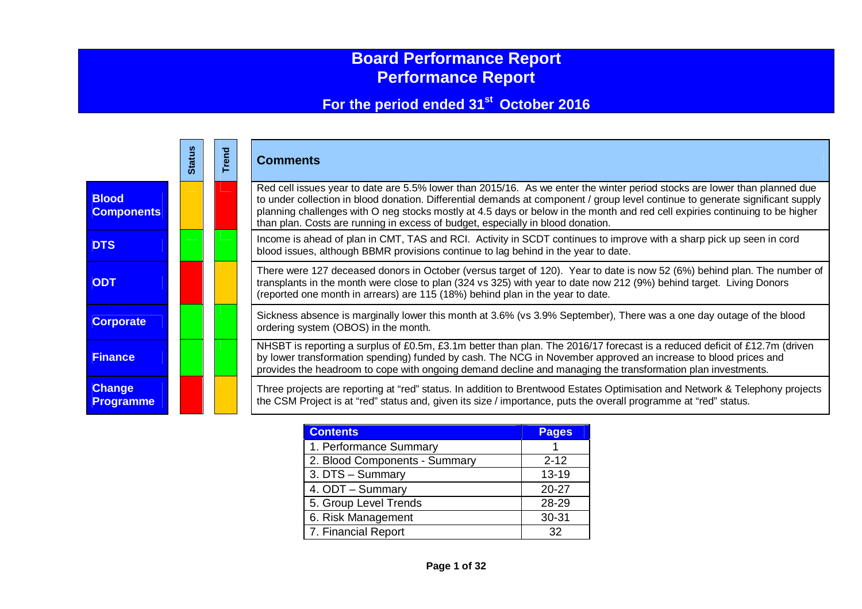# **Board Performance Report Performance Report**

# **For the period ended 31st October 2016**

|                                   | <b>Statu</b> | <b>E</b> | <b>Comments</b>                                                                                                                                                                                                                                                                                                                                                                                                                                                                |
|-----------------------------------|--------------|----------|--------------------------------------------------------------------------------------------------------------------------------------------------------------------------------------------------------------------------------------------------------------------------------------------------------------------------------------------------------------------------------------------------------------------------------------------------------------------------------|
| <b>Blood</b><br><b>Components</b> |              |          | Red cell issues year to date are 5.5% lower than 2015/16. As we enter the winter period stocks are lower than planned due<br>to under collection in blood donation. Differential demands at component / group level continue to generate significant supply<br>planning challenges with O neg stocks mostly at 4.5 days or below in the month and red cell expiries continuing to be higher<br>than plan. Costs are running in excess of budget, especially in blood donation. |
| <b>DTS</b>                        |              |          | Income is ahead of plan in CMT, TAS and RCI. Activity in SCDT continues to improve with a sharp pick up seen in cord<br>blood issues, although BBMR provisions continue to lag behind in the year to date.                                                                                                                                                                                                                                                                     |
| <b>ODT</b>                        |              |          | There were 127 deceased donors in October (versus target of 120). Year to date is now 52 (6%) behind plan. The number of<br>transplants in the month were close to plan (324 vs 325) with year to date now 212 (9%) behind target. Living Donors<br>(reported one month in arrears) are 115 (18%) behind plan in the year to date.                                                                                                                                             |
| <b>Corporate</b>                  |              |          | Sickness absence is marginally lower this month at 3.6% (vs 3.9% September), There was a one day outage of the blood<br>ordering system (OBOS) in the month.                                                                                                                                                                                                                                                                                                                   |
| <b>Finance</b>                    |              |          | NHSBT is reporting a surplus of £0.5m, £3.1m better than plan. The 2016/17 forecast is a reduced deficit of £12.7m (driven<br>by lower transformation spending) funded by cash. The NCG in November approved an increase to blood prices and<br>provides the headroom to cope with ongoing demand decline and managing the transformation plan investments.                                                                                                                    |
| <b>Change</b><br><b>Programme</b> |              |          | Three projects are reporting at "red" status. In addition to Brentwood Estates Optimisation and Network & Telephony projects<br>the CSM Project is at "red" status and, given its size / importance, puts the overall programme at "red" status.                                                                                                                                                                                                                               |

| <b>Contents</b>               | <b>Pages</b> |
|-------------------------------|--------------|
| 1. Performance Summary        |              |
| 2. Blood Components - Summary | $2 - 12$     |
| 3. DTS - Summary              | 13-19        |
| 4. ODT - Summary              | 20-27        |
| 5. Group Level Trends         | 28-29        |
| 6. Risk Management            | 30-31        |
| 7. Financial Report           | 32           |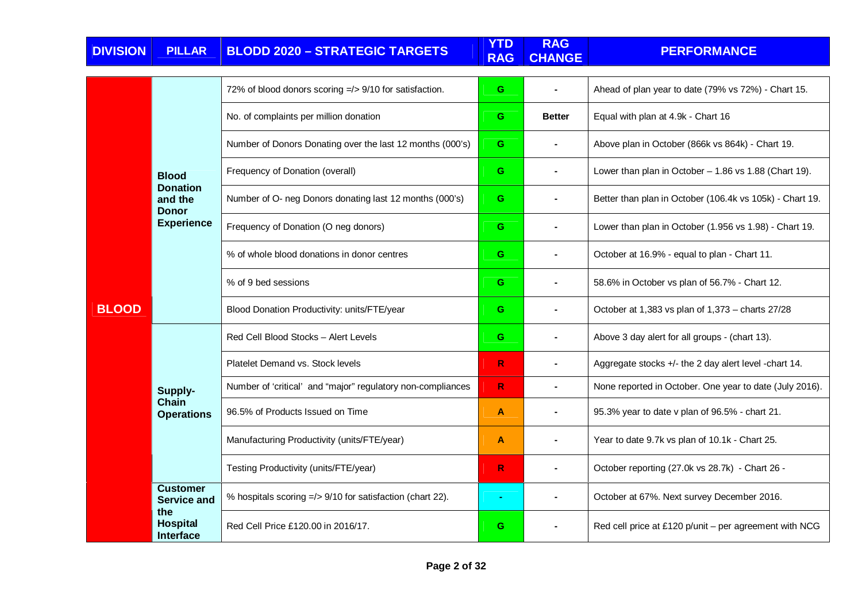| <b>DIVISION</b> | <b>PILLAR</b>                         | <b>BLODD 2020 - STRATEGIC TARGETS</b>                       | <b>YTD</b><br><b>RAG</b> | <b>RAG</b><br><b>CHANGE</b> | <b>PERFORMANCE</b>                                       |
|-----------------|---------------------------------------|-------------------------------------------------------------|--------------------------|-----------------------------|----------------------------------------------------------|
|                 |                                       | 72% of blood donors scoring =/> 9/10 for satisfaction.      | G                        |                             | Ahead of plan year to date (79% vs 72%) - Chart 15.      |
|                 |                                       | No. of complaints per million donation                      |                          | <b>Better</b>               | Equal with plan at 4.9k - Chart 16                       |
|                 |                                       | Number of Donors Donating over the last 12 months (000's)   | G                        |                             | Above plan in October (866k vs 864k) - Chart 19.         |
|                 | <b>Blood</b>                          | Frequency of Donation (overall)                             | G                        |                             | Lower than plan in October $-1.86$ vs 1.88 (Chart 19).   |
|                 | <b>Donation</b><br>and the            | Number of O- neg Donors donating last 12 months (000's)     | G                        |                             | Better than plan in October (106.4k vs 105k) - Chart 19. |
|                 | <b>Donor</b><br><b>Experience</b>     | Frequency of Donation (O neg donors)                        | G                        |                             | Lower than plan in October (1.956 vs 1.98) - Chart 19.   |
|                 |                                       | % of whole blood donations in donor centres                 | G                        |                             | October at 16.9% - equal to plan - Chart 11.             |
|                 |                                       | % of 9 bed sessions                                         | G                        | $\blacksquare$              | 58.6% in October vs plan of 56.7% - Chart 12.            |
| <b>BLOOD</b>    |                                       | Blood Donation Productivity: units/FTE/year                 | G                        | ٠                           | October at 1,383 vs plan of 1,373 - charts 27/28         |
|                 |                                       | Red Cell Blood Stocks - Alert Levels                        | G                        | ٠                           | Above 3 day alert for all groups - (chart 13).           |
|                 |                                       | Platelet Demand vs. Stock levels                            | $\mathsf{R}$             | $\blacksquare$              | Aggregate stocks +/- the 2 day alert level -chart 14.    |
|                 | Supply-                               | Number of 'critical' and "major" regulatory non-compliances | $\mathsf{R}$             |                             | None reported in October. One year to date (July 2016).  |
|                 | <b>Chain</b><br><b>Operations</b>     | 96.5% of Products Issued on Time                            | $\mathbf{A}$             |                             | 95.3% year to date v plan of 96.5% - chart 21.           |
|                 |                                       | Manufacturing Productivity (units/FTE/year)                 | A                        |                             | Year to date 9.7k vs plan of 10.1k - Chart 25.           |
|                 |                                       | Testing Productivity (units/FTE/year)                       | $\mathsf{R}$             |                             | October reporting (27.0k vs 28.7k) - Chart 26 -          |
|                 | <b>Customer</b><br><b>Service and</b> | % hospitals scoring =/> 9/10 for satisfaction (chart 22).   |                          |                             | October at 67%. Next survey December 2016.               |
|                 | the<br><b>Hospital</b><br>Interface   | Red Cell Price £120.00 in 2016/17.                          | G                        |                             | Red cell price at £120 p/unit - per agreement with NCG   |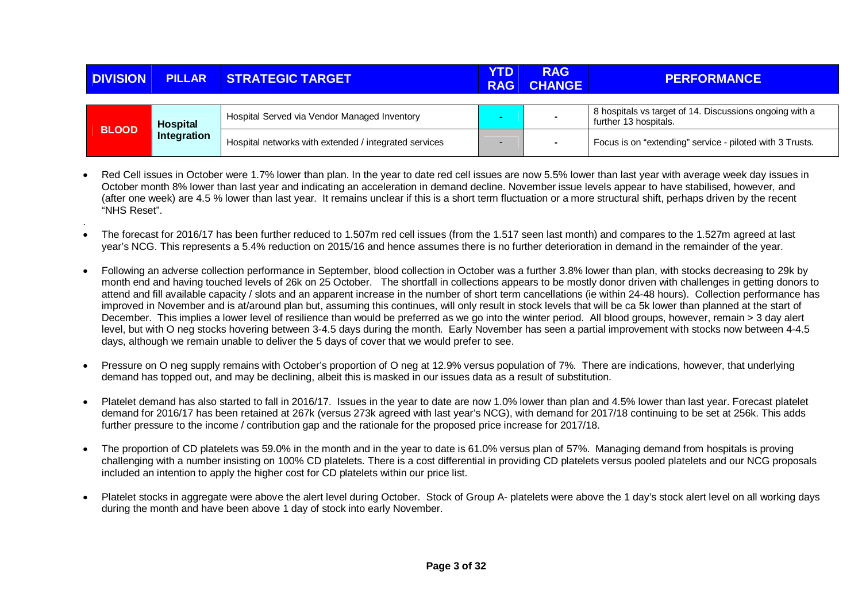| <b>DIVISION</b> | <b>PILLAR</b> | STRATEGIC TARGET                                      | <b>YTD</b><br><b>RAG</b> | <b>RAG</b><br><b>CHANGE</b> | <b>PERFORMANCE</b>                                                               |  |  |  |
|-----------------|---------------|-------------------------------------------------------|--------------------------|-----------------------------|----------------------------------------------------------------------------------|--|--|--|
|                 | Hospital      | Hospital Served via Vendor Managed Inventory          |                          | $\overline{\phantom{a}}$    | 8 hospitals vs target of 14. Discussions ongoing with a<br>further 13 hospitals. |  |  |  |
| <b>BLOOD</b>    | Integration   | Hospital networks with extended / integrated services |                          |                             | Focus is on "extending" service - piloted with 3 Trusts.                         |  |  |  |

- Red Cell issues in October were 1.7% lower than plan. In the year to date red cell issues are now 5.5% lower than last year with average week day issues in October month 8% lower than last year and indicating an acceleration in demand decline. November issue levels appear to have stabilised, however, and (after one week) are 4.5 % lower than last year. It remains unclear if this is a short term fluctuation or a more structural shift, perhaps driven by the recent "NHS Reset".
- The forecast for 2016/17 has been further reduced to 1.507m red cell issues (from the 1.517 seen last month) and compares to the 1.527m agreed at last year's NCG. This represents a 5.4% reduction on 2015/16 and hence assumes there is no further deterioration in demand in the remainder of the year.

.

- Following an adverse collection performance in September, blood collection in October was a further 3.8% lower than plan, with stocks decreasing to 29k by month end and having touched levels of 26k on 25 October. The shortfall in collections appears to be mostly donor driven with challenges in getting donors to attend and fill available capacity / slots and an apparent increase in the number of short term cancellations (ie within 24-48 hours). Collection performance has improved in November and is at/around plan but, assuming this continues, will only result in stock levels that will be ca 5k lower than planned at the start of December. This implies a lower level of resilience than would be preferred as we go into the winter period. All blood groups, however, remain > 3 day alert level, but with O neg stocks hovering between 3-4.5 days during the month. Early November has seen a partial improvement with stocks now between 4-4.5 days, although we remain unable to deliver the 5 days of cover that we would prefer to see.
- Pressure on O neg supply remains with October's proportion of O neg at 12.9% versus population of 7%. There are indications, however, that underlying demand has topped out, and may be declining, albeit this is masked in our issues data as a result of substitution.
- Platelet demand has also started to fall in 2016/17. Issues in the year to date are now 1.0% lower than plan and 4.5% lower than last year. Forecast platelet demand for 2016/17 has been retained at 267k (versus 273k agreed with last year's NCG), with demand for 2017/18 continuing to be set at 256k. This adds further pressure to the income / contribution gap and the rationale for the proposed price increase for 2017/18.
- The proportion of CD platelets was 59.0% in the month and in the year to date is 61.0% versus plan of 57%. Managing demand from hospitals is proving challenging with a number insisting on 100% CD platelets. There is a cost differential in providing CD platelets versus pooled platelets and our NCG proposals included an intention to apply the higher cost for CD platelets within our price list.
- Platelet stocks in aggregate were above the alert level during October. Stock of Group A- platelets were above the 1 day's stock alert level on all working days during the month and have been above 1 day of stock into early November.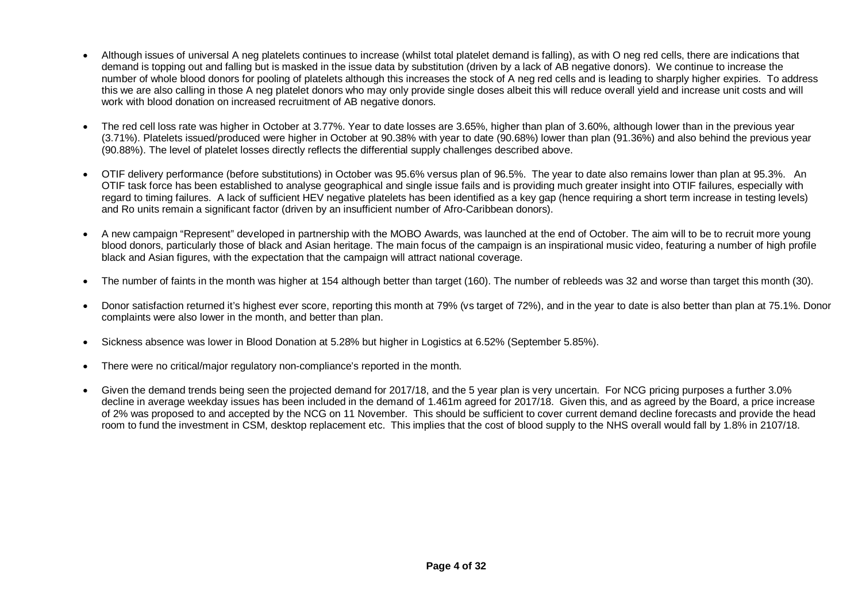- Although issues of universal A neg platelets continues to increase (whilst total platelet demand is falling), as with O neg red cells, there are indications that demand is topping out and falling but is masked in the issue data by substitution (driven by a lack of AB negative donors). We continue to increase the number of whole blood donors for pooling of platelets although this increases the stock of A neg red cells and is leading to sharply higher expiries. To address this we are also calling in those A neg platelet donors who may only provide single doses albeit this will reduce overall yield and increase unit costs and will work with blood donation on increased recruitment of AB negative donors.
- The red cell loss rate was higher in October at 3.77%. Year to date losses are 3.65%, higher than plan of 3.60%, although lower than in the previous vear (3.71%). Platelets issued/produced were higher in October at 90.38% with year to date (90.68%) lower than plan (91.36%) and also behind the previous year (90.88%). The level of platelet losses directly reflects the differential supply challenges described above.
- OTIF delivery performance (before substitutions) in October was 95.6% versus plan of 96.5%. The year to date also remains lower than plan at 95.3%. An OTIF task force has been established to analyse geographical and single issue fails and is providing much greater insight into OTIF failures, especially with regard to timing failures. A lack of sufficient HEV negative platelets has been identified as a key gap (hence requiring a short term increase in testing levels) and Ro units remain a significant factor (driven by an insufficient number of Afro-Caribbean donors).
- A new campaign "Represent" developed in partnership with the MOBO Awards, was launched at the end of October. The aim will to be to recruit more young blood donors, particularly those of black and Asian heritage. The main focus of the campaign is an inspirational music video, featuring a number of high profile black and Asian figures, with the expectation that the campaign will attract national coverage.
- The number of faints in the month was higher at 154 although better than target (160). The number of rebleeds was 32 and worse than target this month (30).
- Donor satisfaction returned it's highest ever score, reporting this month at 79% (vs target of 72%), and in the year to date is also better than plan at 75.1%. Donor complaints were also lower in the month, and better than plan.
- Sickness absence was lower in Blood Donation at 5.28% but higher in Logistics at 6.52% (September 5.85%).
- There were no critical/major regulatory non-compliance's reported in the month.
- Given the demand trends being seen the projected demand for 2017/18, and the 5 year plan is very uncertain. For NCG pricing purposes a further 3.0% decline in average weekday issues has been included in the demand of 1.461m agreed for 2017/18. Given this, and as agreed by the Board, a price increase of 2% was proposed to and accepted by the NCG on 11 November. This should be sufficient to cover current demand decline forecasts and provide the head room to fund the investment in CSM, desktop replacement etc. This implies that the cost of blood supply to the NHS overall would fall by 1.8% in 2107/18.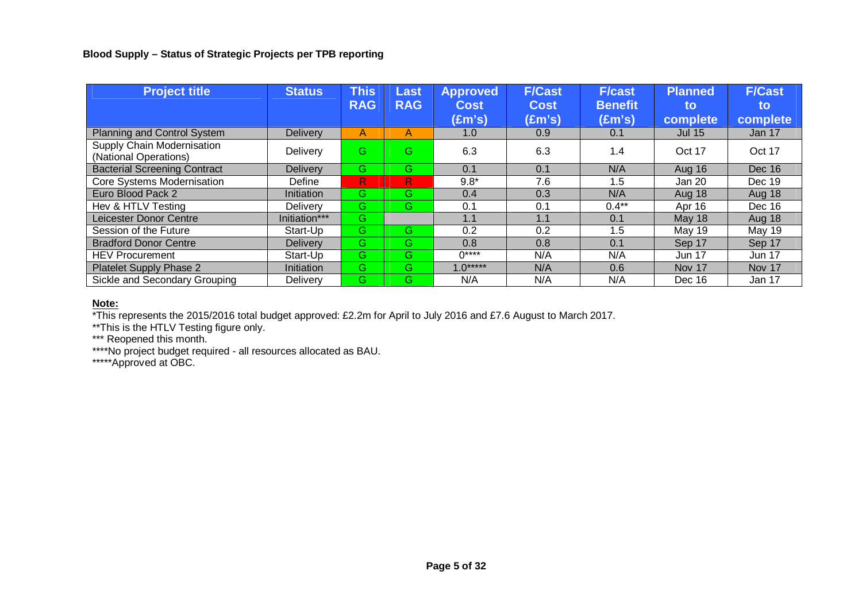### **Blood Supply – Status of Strategic Projects per TPB reporting**

| <b>Project title</b>                                | <b>Status</b>     | <b>This</b><br><b>RAG</b> | Last<br><b>RAG</b> | <b>Approved</b><br><b>Cost</b><br>(£m's) | <b>F/Cast</b><br><b>Cost</b><br>$(\text{Em's})$ | <b>F/cast</b><br><b>Benefit</b><br>$(\text{Em's})$ | <b>Planned</b><br>to<br>complete | <b>F/Cast</b><br>to<br>complete |
|-----------------------------------------------------|-------------------|---------------------------|--------------------|------------------------------------------|-------------------------------------------------|----------------------------------------------------|----------------------------------|---------------------------------|
| Planning and Control System                         | Delivery          | A                         | A                  | 1.0                                      | 0.9                                             | 0.1                                                | <b>Jul 15</b>                    | Jan 17                          |
| Supply Chain Modernisation<br>(National Operations) | Delivery          | G.                        | G                  | 6.3                                      | 6.3                                             | 1.4                                                | Oct 17                           | Oct 17                          |
| <b>Bacterial Screening Contract</b>                 | <b>Delivery</b>   | G.                        | G                  | 0.1                                      | 0.1                                             | N/A                                                | Aug 16                           | Dec 16                          |
| Core Systems Modernisation                          | Define            | R                         | R.                 | $9.8*$                                   | 7.6                                             | 1.5                                                | Jan 20                           | Dec 19                          |
| Euro Blood Pack 2                                   | <b>Initiation</b> | G.                        | G                  | 0.4                                      | 0.3                                             | N/A                                                | Aug 18                           | Aug 18                          |
| Hev & HTLV Testing                                  | Delivery          | G.                        | G                  | 0.1                                      | 0.1                                             | $0.4**$                                            | Apr 16                           | Dec 16                          |
| <b>Leicester Donor Centre</b>                       | Initiation***     | G.                        |                    | 1.1                                      | 1.1                                             | 0.1                                                | May 18                           | Aug 18                          |
| Session of the Future                               | Start-Up          | G.                        | G                  | 0.2                                      | 0.2                                             | 1.5                                                | May 19                           | May 19                          |
| <b>Bradford Donor Centre</b>                        | <b>Delivery</b>   | G.                        | G                  | 0.8                                      | 0.8                                             | 0.1                                                | Sep 17                           | Sep 17                          |
| <b>HEV Procurement</b>                              | Start-Up          | G.                        | G.                 | ∩****                                    | N/A                                             | N/A                                                | <b>Jun 17</b>                    | <b>Jun 17</b>                   |
| Platelet Supply Phase 2                             | Initiation        | G.                        | G                  | $1.0***$                                 | N/A                                             | 0.6                                                | Nov 17                           | Nov 17                          |
| Sickle and Secondary Grouping                       | Delivery          | G.                        | G.                 | N/A                                      | N/A                                             | N/A                                                | Dec 16                           | Jan 17                          |

**Note:** \*This represents the 2015/2016 total budget approved: £2.2m for April to July 2016 and £7.6 August to March 2017.

\*\*This is the HTLV Testing figure only. \*\*\* Reopened this month. \*\*\*\*No project budget required - all resources allocated as BAU.

\*\*\*\*\*Approved at OBC.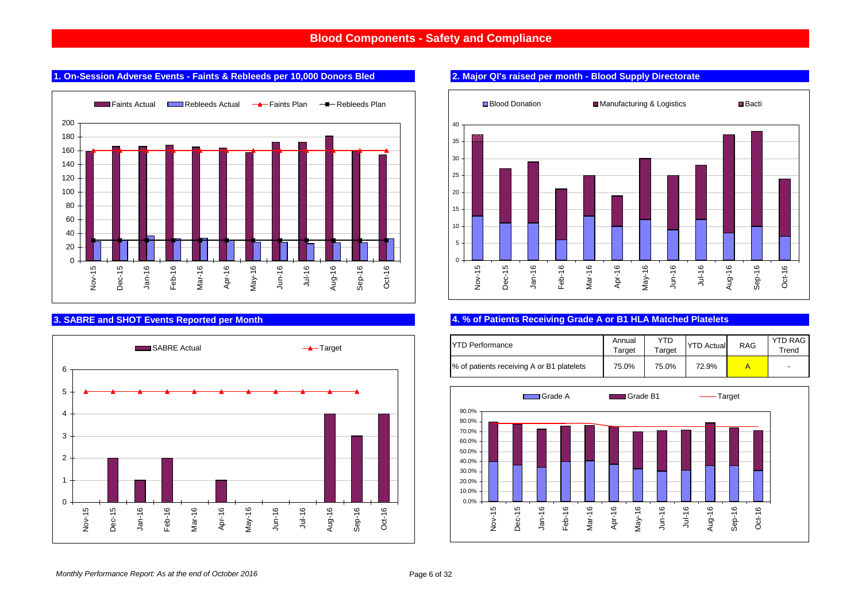

#### **1. On-Session Adverse Events - Faints & Rebleeds per 10,000 Donors Bled 2. Major QI's raised per month - Blood Supply Directorate**

#### **3. SABRE and SHOT Events Reported per Month**





#### **4. % of Patients Receiving Grade A or B1 HLA Matched Platelets**

| <b>IYTD Performance</b>                   | Annual<br>Target | YTD<br>Target | <b>YTD Actual</b> | <b>RAG</b> | <b>YTD RAG</b><br>Trend |
|-------------------------------------------|------------------|---------------|-------------------|------------|-------------------------|
| % of patients receiving A or B1 platelets | 75.0%            | 75.0%         | 72.9%             |            |                         |

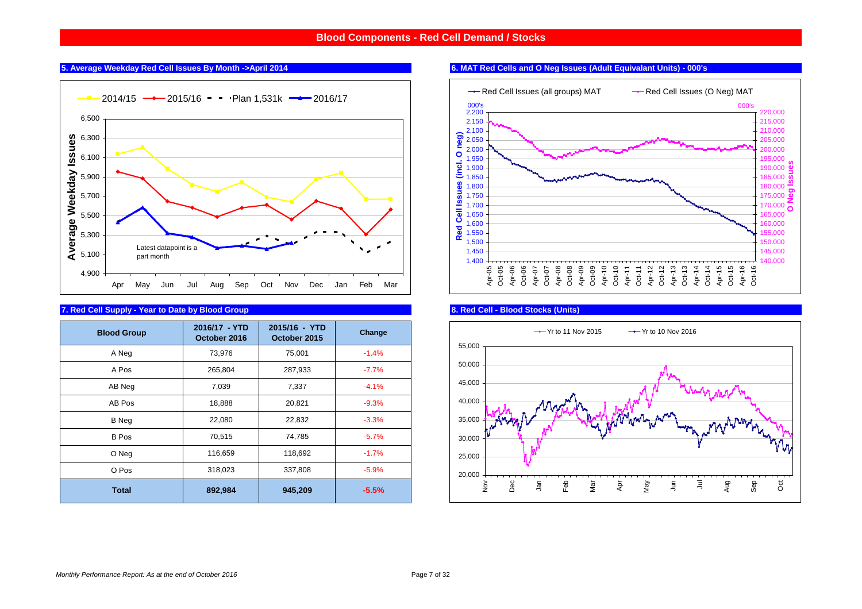#### **Blood Components - Red Cell Demand / Stocks**

#### **5. Average Weekday Red Cell Issues By Month ->April 2014**



| <b>Blood Group</b> | 2016/17 - YTD<br>October 2016 | 2015/16 - YTD<br>October 2015 | Change  |
|--------------------|-------------------------------|-------------------------------|---------|
| A Neg              | 73,976                        | 75,001                        | $-1.4%$ |
| A Pos              | 265,804                       | 287,933                       | $-7.7%$ |
| AB Neg             | 7,039                         | 7,337                         | $-4.1%$ |
| AB Pos             | 18,888                        | 20,821                        | $-9.3%$ |
| <b>B</b> Neg       | 22,080                        | 22,832                        | $-3.3%$ |
| <b>B</b> Pos       | 70,515                        | 74,785                        | $-5.7%$ |
| O Neg              | 116,659                       | 118,692                       | $-1.7%$ |
| O Pos              | 318,023                       | 337,808                       | $-5.9%$ |
| <b>Total</b>       | 892,984                       | 945,209                       | $-5.5%$ |

#### **7. Red Cell Supply - Year to Date by Blood Group**

# **6. MAT Red Cells and O Neg Issues (Adult Equivalant Units) - 000's**



#### **8. Red Cell - Blood Stocks (Units)**

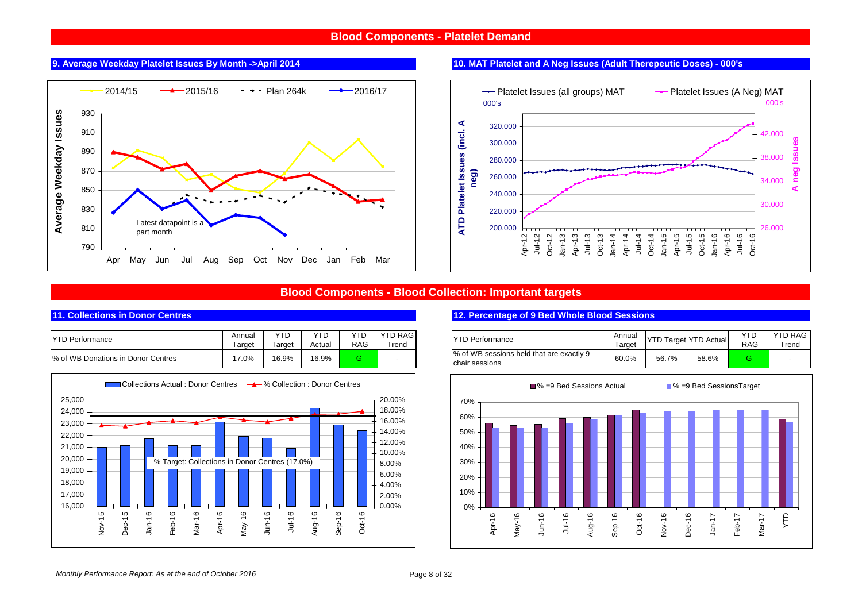#### **Blood Components - Platelet Demand**

#### **9. Average Weekday Platelet Issues By Month ->April 2014**





#### **Blood Components - Blood Collection: Important targets**

#### **11. Collections in Donor Centres**

| <b>IYTD Performance</b>            | Annual       | YTD    | YTD    | YTD | <b>YTD RAG</b> |
|------------------------------------|--------------|--------|--------|-----|----------------|
|                                    | $\tau$ arget | Target | Actual | RAG | ™rend          |
| % of WB Donations in Donor Centres | 17.0%        | 16.9%  | 16.9%  |     | $\,$           |



#### **12. Percentage of 9 Bed Whole Blood Sessions**

| Annua<br>Target | <b>YTD</b><br>Target | YTD<br>Actual | YTD<br><b>RAG</b> | <b>YTD RAG</b><br>Trend | <b>TYD Performance</b>                                      | Annual<br>Target |       | <b>YTD Target YTD Actual</b> | YTD<br><b>RAG</b> | <b>YTD RAG</b><br>Trend |
|-----------------|----------------------|---------------|-------------------|-------------------------|-------------------------------------------------------------|------------------|-------|------------------------------|-------------------|-------------------------|
| $7.0\%$         | 16.9%                | 16.9%         |                   |                         | % of WB sessions held that are exactly 9<br>Ichair sessions | 60.0%            | 56.7% | 58.6%                        |                   |                         |



#### **10. MAT Platelet and A Neg Issues (Adult Therepeutic Doses) - 000's**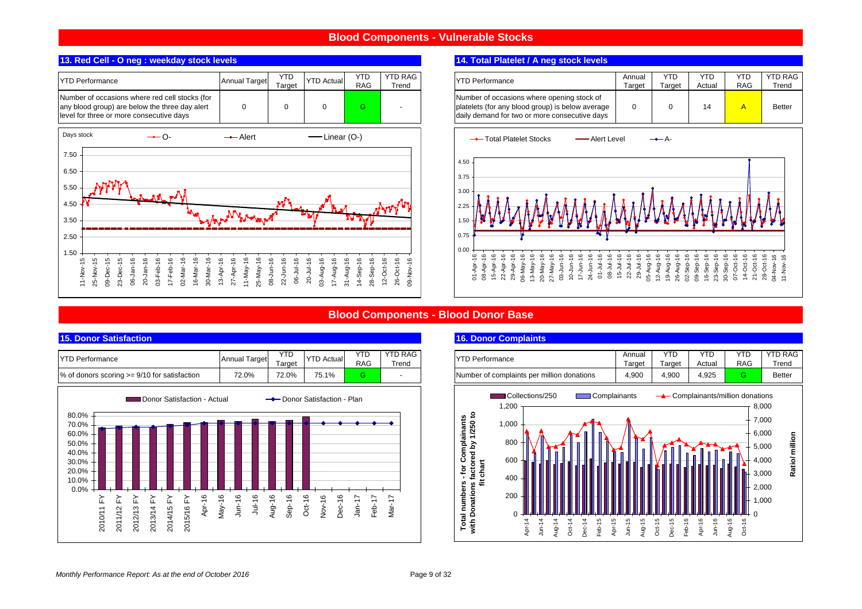#### **Blood Components - Vulnerable Stocks**

#### **13. Red Cell - O neg : weekday stock levels**

1.502.503.504.505.50

> 11-Nov-15 25-Nov-15 09-Dec-15 23-Dec-15 06-Jan-16 20-Jan-16 03-Feb-16 17-Feb-16 02-Mar-16 16-Mar-16 30-Mar-16 13-Apr-16 27-Apr-16 11-May-16 25-May-16 08-Jun-16 22-Jun-16 06-Jul-16 20-Jul-16 03-Aug-16 17-Aug-16 31-Aug-16 14-Sep-16 28-Sep-16 12-Oct-16 26-Oct-16 09-Nov-16

25-Nov-1

 $11 - Nov - 15$ 15 09-Dec-15

 $\frac{1}{2}$ 

23-Dec-1

 $20 - Jan - 16$ 

06-Jan-16

02-Mar-16 16-Mar-16 30-Mar-16

 $17 - Feb - 16$ 

03-Feb-16



#### 14. Total Platelet / A neg stock levels

| G | <b>YTD RAG</b><br>Trend | <b>TYD Performance</b>                                                                                                                          | Annual<br>Target | YTD<br>Target | YTD<br>Actual | YTD<br><b>RAG</b> | YTD RAG<br>Trend |
|---|-------------------------|-------------------------------------------------------------------------------------------------------------------------------------------------|------------------|---------------|---------------|-------------------|------------------|
|   |                         | Number of occasions where opening stock of<br>platelets (for any blood group) is below average<br>daily demand for two or more consecutive days |                  |               | 14            |                   | <b>Better</b>    |



#### **Blood Components - Blood Donor Base**

 $12 - Oct - 16$ 26-Oct-16 09-Nov-16



11-May-16

25-May-16

08-Jun-16 22-Jun-16 06-Jul-16  $20 -$ Jul-16

#### **16. Donor Complaints**

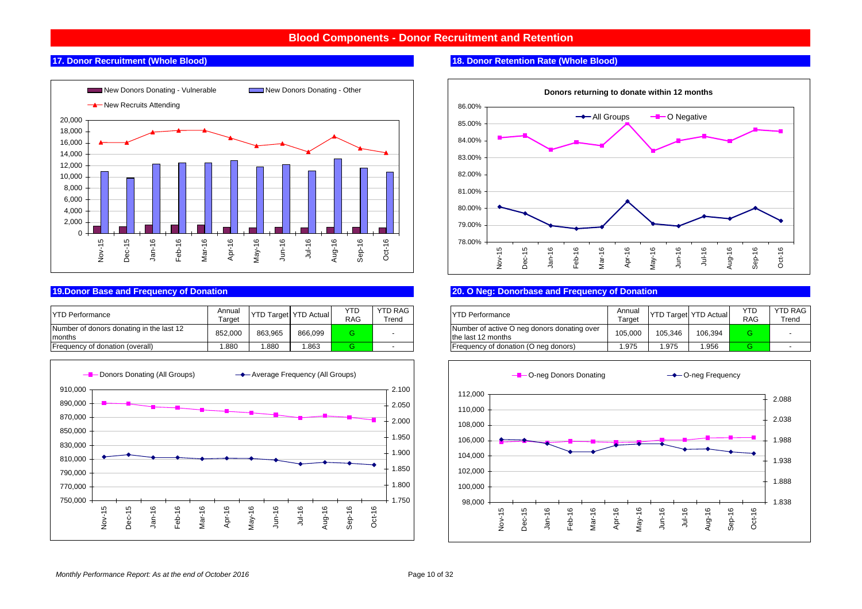#### **Blood Components - Donor Recruitment and Retention**

#### **17. Donor Recruitment (Whole Blood)**



#### **19.Donor Base and Frequency of Donation**

| <b>TYTD Performance</b>                            | Annual<br>Targe |         | Target YTD Actual | YTD<br><b>RAG</b> | YTD RAG<br>Trend | <b>YTD Performance</b>                                            | Annual<br>Taroe |         | YTD Target YTD Actual | YTD.<br><b>RAG</b> | YTD R |
|----------------------------------------------------|-----------------|---------|-------------------|-------------------|------------------|-------------------------------------------------------------------|-----------------|---------|-----------------------|--------------------|-------|
| Number of donors donating in the last 12<br>months | 852,000         | 863.965 | 866.099           |                   |                  | Number of active O neg donors donating over<br>the last 12 months | 105.000         | 105.346 | 106,394               |                    |       |
| <b>Frequency of donation (overall)</b>             | .880            | .880    | .863              |                   |                  | <b>Frequency of donation (O neg donors)</b>                       | .975            | 1.975   | . 956                 |                    |       |



#### **18. Donor Retention Rate (Whole Blood)**



#### **20. O Neg: Donorbase and Frequency of Donation**  $\mathbf{B}$  and  $\mathbf{B}$  and  $\mathbf{B}$  and  $\mathbf{B}$  and  $\mathbf{B}$

| 'erformance                         | Annual<br>⊺arɑet | <b>YTD Target YTD Actual</b> |         | YTD<br><b>RAG</b> | <b>YTD RAG</b><br>Treno | <b>YTD Performance</b>                                            | Annual<br>Targe | <b>YTD Target YTD Actual</b> |         | <b>YTD</b><br><b>RAG</b> | <b>YTD RAG</b><br>Trend |
|-------------------------------------|------------------|------------------------------|---------|-------------------|-------------------------|-------------------------------------------------------------------|-----------------|------------------------------|---------|--------------------------|-------------------------|
| भ of donors donating in the last 12 | 852,000          | 863,965                      | 866,099 |                   |                         | Number of active O neg donors donating over<br>the last 12 months | 105,000         | 105,346                      | 106,394 |                          |                         |
| ency of donation (overall)          | 1.880            | .880                         | .863    |                   |                         | Frequency of donation (O neg donors)                              | 1.975           | 1.975                        | 1.956   |                          |                         |

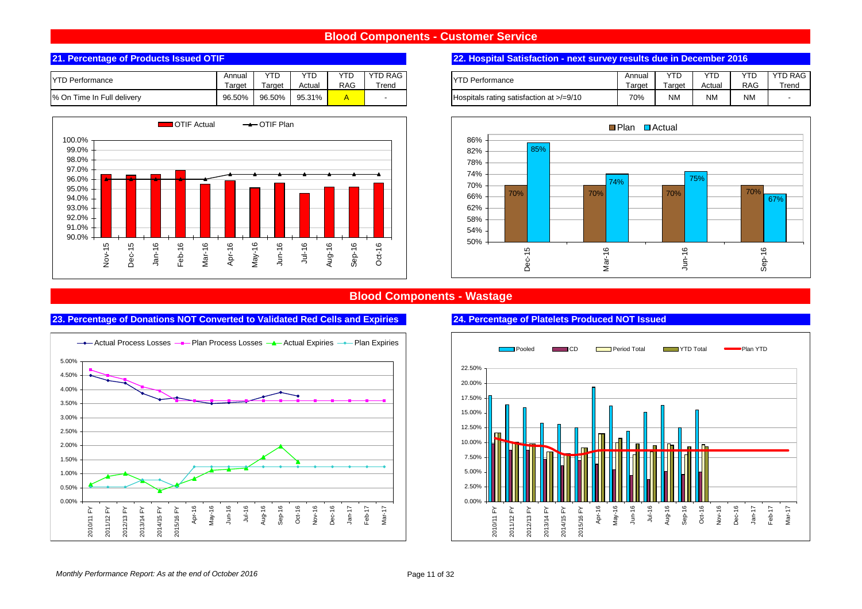#### **Blood Components - Customer Service**

#### **21. Percentage of Products Issued OTIF**

| <b>YTD</b><br><b>YTD</b><br><b>YTL</b><br><b>YTD RAG</b><br>Annual<br>VTPT<br><b>IYTD Performance</b><br>Performance<br>$\overline{\phantom{a}}$<br><b>RAG</b><br>Trend<br>Target<br>Actual<br>Tarɑet |                    |             |        |            |                                          | Annua | <b>VTI</b> | <b>YTE</b> | <b>YTD</b> | 27725 |
|-------------------------------------------------------------------------------------------------------------------------------------------------------------------------------------------------------|--------------------|-------------|--------|------------|------------------------------------------|-------|------------|------------|------------|-------|
|                                                                                                                                                                                                       | Targe <sup>®</sup> | <b>Farg</b> | Actua  | <b>RAG</b> | Tren                                     |       |            |            |            |       |
| Full delivery<br>% On<br>™e                                                                                                                                                                           | 96.50%             | 96.50%      | 95.31% |            | Hospitals rating satisfaction at >/=9/10 | 70%   | .<br>ועוצו | <b>NM</b>  | <b>NM</b>  |       |



#### **22. Hospital Satisfaction - next survey results due in December 2016**

|             | YTD RAG | <b>YTD Performance</b>                   | Annual | YTD       | YTD    | YTD        | <b>YTD RAG</b> |
|-------------|---------|------------------------------------------|--------|-----------|--------|------------|----------------|
| $\sim$<br>ت | rend    |                                          | Target | Target    | Actual | <b>RAG</b> | Trend          |
|             |         | Hospitals rating satisfaction at >/=9/10 | 70%    | <b>NM</b> | ΝM     | NΜ         |                |



#### **Blood Components - Wastage**





#### **23. Percentage of Donations NOT Converted to Validated Red Cells and Expiries 24. Percentage of Platelets Produced NOT Issued**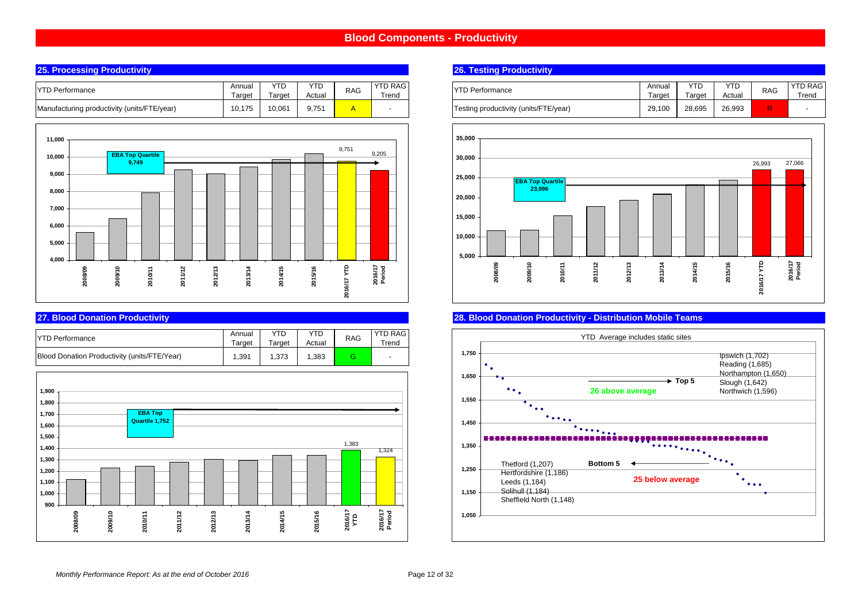#### **Blood Components - Productivity**



#### **27. Blood Donation Productivity**

| <b>YTD Performance</b>                       | Annual<br>Target | $\tau$ arget | YTD<br>Actual | <b>RAG</b> | YTD RAG I<br>-rend |
|----------------------------------------------|------------------|--------------|---------------|------------|--------------------|
| Blood Donation Productivity (units/FTE/Year) | 1.391            | 1.373        | 1.383         | Э          |                    |



#### **26. Testing Productivity**

| <b>RAG</b><br>end | <b>YTD Performance</b>                 | Annual<br>Target | YTD<br>Target | YTD<br>Actual | <b>RAG</b> | <b>YTD RAG</b><br>⊺rend |
|-------------------|----------------------------------------|------------------|---------------|---------------|------------|-------------------------|
|                   | 'Testing productivity (units/FTE/year) | 29.100           | 28.695        | 26.993        |            | -                       |



#### **28. Blood Donation Productivity - Distribution Mobile Teams**

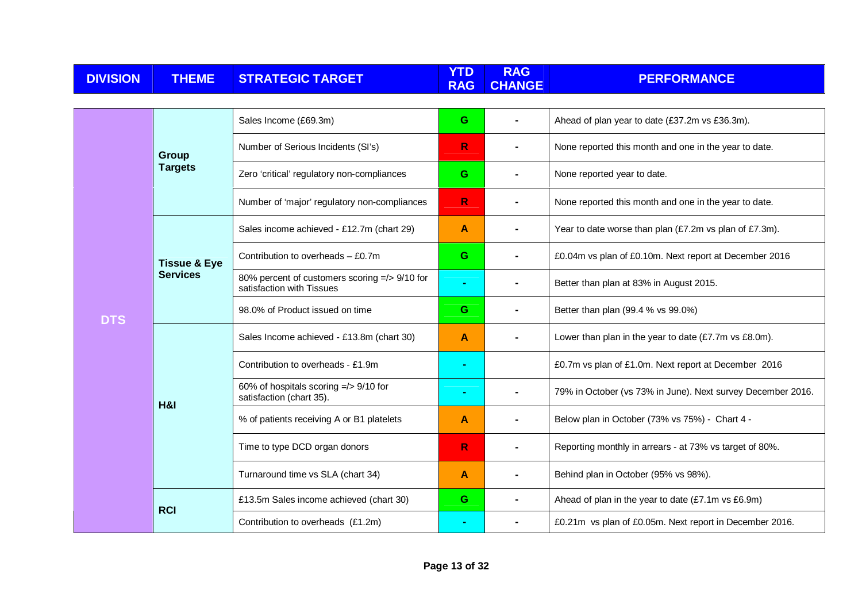| <b>DIVISION</b> | <b>THEME</b>            | <b>STRATEGIC TARGET</b>                                                    | <b>YTD</b><br><b>RAG</b> | <b>RAG</b><br><b>CHANGE</b> | <b>PERFORMANCE</b>                                          |
|-----------------|-------------------------|----------------------------------------------------------------------------|--------------------------|-----------------------------|-------------------------------------------------------------|
|                 |                         |                                                                            |                          |                             |                                                             |
|                 |                         | Sales Income (£69.3m)                                                      | G                        |                             | Ahead of plan year to date (£37.2m vs £36.3m).              |
|                 | Group                   | Number of Serious Incidents (SI's)                                         | R.                       |                             | None reported this month and one in the year to date.       |
|                 | <b>Targets</b>          | Zero 'critical' regulatory non-compliances                                 | G.                       |                             | None reported year to date.                                 |
|                 |                         | Number of 'major' regulatory non-compliances                               | R.                       |                             | None reported this month and one in the year to date.       |
|                 |                         | Sales income achieved - £12.7m (chart 29)                                  | A                        | $\blacksquare$              | Year to date worse than plan (£7.2m vs plan of £7.3m).      |
|                 | <b>Tissue &amp; Eye</b> | Contribution to overheads - £0.7m                                          | G                        |                             | £0.04m vs plan of £0.10m. Next report at December 2016      |
|                 | <b>Services</b>         | 80% percent of customers scoring =/> 9/10 for<br>satisfaction with Tissues |                          |                             | Better than plan at 83% in August 2015.                     |
| <b>DTS</b>      |                         | 98.0% of Product issued on time                                            | G                        |                             | Better than plan (99.4 % vs 99.0%)                          |
|                 |                         | Sales Income achieved - £13.8m (chart 30)                                  | A                        |                             | Lower than plan in the year to date (£7.7m vs £8.0m).       |
|                 |                         | Contribution to overheads - £1.9m                                          |                          |                             | £0.7m vs plan of £1.0m. Next report at December 2016        |
|                 | H&I                     | 60% of hospitals scoring =/> 9/10 for<br>satisfaction (chart 35).          |                          |                             | 79% in October (vs 73% in June). Next survey December 2016. |
|                 |                         | % of patients receiving A or B1 platelets                                  | A                        |                             | Below plan in October (73% vs 75%) - Chart 4 -              |
|                 |                         | Time to type DCD organ donors                                              | R.                       |                             | Reporting monthly in arrears - at 73% vs target of 80%.     |
|                 |                         | Turnaround time vs SLA (chart 34)                                          | A                        |                             | Behind plan in October (95% vs 98%).                        |
|                 | <b>RCI</b>              | £13.5m Sales income achieved (chart 30)                                    | G.                       |                             | Ahead of plan in the year to date (£7.1m vs £6.9m)          |
|                 |                         | Contribution to overheads (£1.2m)                                          |                          |                             | £0.21m vs plan of £0.05m. Next report in December 2016.     |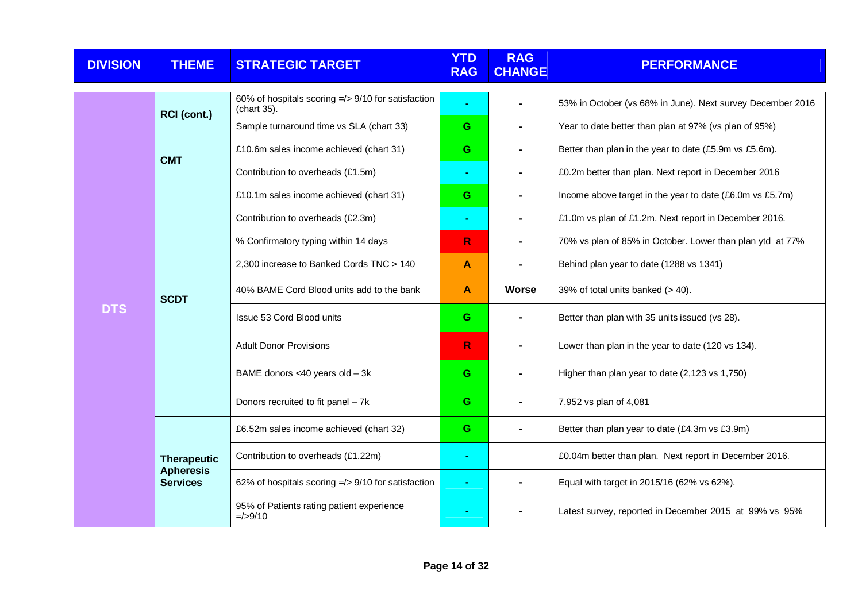| <b>DIVISION</b> | <b>THEME</b>                        | <b>STRATEGIC TARGET</b>                                           | <b>YTD</b><br><b>RAG</b> | <b>RAG</b><br><b>CHANGE</b> | <b>PERFORMANCE</b>                                         |
|-----------------|-------------------------------------|-------------------------------------------------------------------|--------------------------|-----------------------------|------------------------------------------------------------|
|                 | RCI (cont.)                         | 60% of hospitals scoring =/> 9/10 for satisfaction<br>(chart 35). | ٠                        | $\blacksquare$              | 53% in October (vs 68% in June). Next survey December 2016 |
|                 |                                     | Sample turnaround time vs SLA (chart 33)                          | G.                       |                             | Year to date better than plan at 97% (vs plan of 95%)      |
|                 | <b>CMT</b>                          | £10.6m sales income achieved (chart 31)                           | G.                       |                             | Better than plan in the year to date (£5.9m vs £5.6m).     |
|                 |                                     | Contribution to overheads (£1.5m)                                 | ٠                        |                             | £0.2m better than plan. Next report in December 2016       |
|                 |                                     | £10.1m sales income achieved (chart 31)                           | G.                       |                             | Income above target in the year to date (£6.0m vs £5.7m)   |
|                 |                                     | Contribution to overheads (£2.3m)                                 | ٠                        |                             | £1.0m vs plan of £1.2m. Next report in December 2016.      |
|                 |                                     | % Confirmatory typing within 14 days                              | $\mathsf{R}$             |                             | 70% vs plan of 85% in October. Lower than plan ytd at 77%  |
|                 | <b>SCDT</b>                         | 2,300 increase to Banked Cords TNC > 140                          | A                        |                             | Behind plan year to date (1288 vs 1341)                    |
|                 |                                     | 40% BAME Cord Blood units add to the bank                         | A                        | <b>Worse</b>                | 39% of total units banked (> 40).                          |
|                 |                                     | Issue 53 Cord Blood units                                         | G                        |                             | Better than plan with 35 units issued (vs 28).             |
|                 |                                     | <b>Adult Donor Provisions</b>                                     | R.                       |                             | Lower than plan in the year to date (120 vs 134).          |
|                 |                                     | BAME donors <40 years old $-3k$                                   | G.                       |                             | Higher than plan year to date (2,123 vs 1,750)             |
|                 |                                     | Donors recruited to fit panel - 7k                                | G.                       |                             | 7,952 vs plan of 4,081                                     |
|                 |                                     | £6.52m sales income achieved (chart 32)                           | G.                       |                             | Better than plan year to date (£4.3m vs £3.9m)             |
| <b>DTS</b>      | <b>Therapeutic</b>                  | Contribution to overheads (£1.22m)                                | ۰                        |                             | £0.04m better than plan. Next report in December 2016.     |
|                 | <b>Apheresis</b><br><b>Services</b> | 62% of hospitals scoring =/> 9/10 for satisfaction                | ٠                        |                             | Equal with target in 2015/16 (62% vs 62%).                 |
|                 |                                     | 95% of Patients rating patient experience<br>$=$ />9/10           | ۰                        |                             | Latest survey, reported in December 2015 at 99% vs 95%     |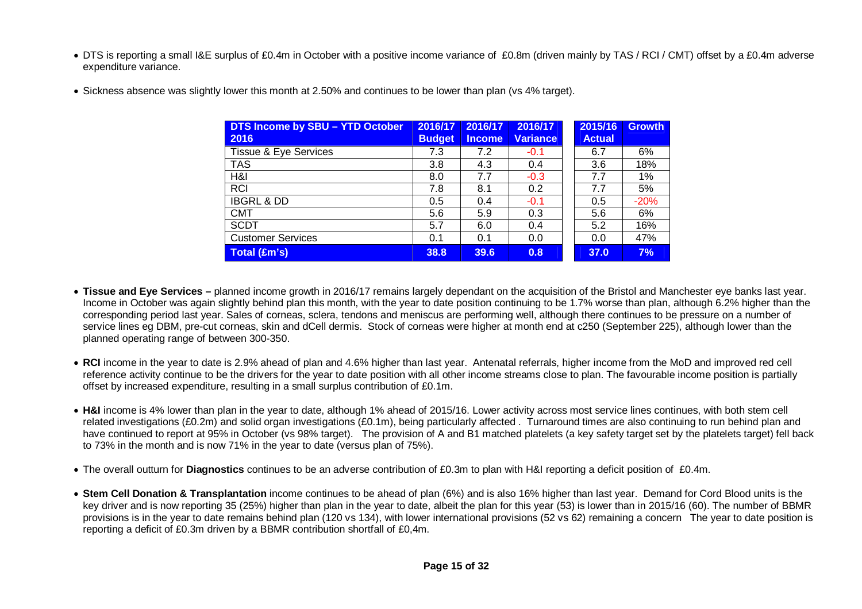• DTS is reporting a small I&E surplus of £0.4m in October with a positive income variance of £0.8m (driven mainly by TAS / RCI / CMT) offset by a £0.4m adverse expenditure variance.

| Sickness absence was slightly lower this month at 2.50% and continues to be lower than plan (vs 4% target). |  |
|-------------------------------------------------------------------------------------------------------------|--|
|-------------------------------------------------------------------------------------------------------------|--|

| DTS Income by SBU - YTD October  | 2016/17       | 2016/17       | 2016/17         | 2015/16       | Growth |
|----------------------------------|---------------|---------------|-----------------|---------------|--------|
| 2016                             | <b>Budget</b> | <b>Income</b> | <b>Variance</b> | <b>Actual</b> |        |
| <b>Tissue &amp; Eye Services</b> | 7.3           | 7.2           | $-0.1$          | 6.7           | 6%     |
| <b>TAS</b>                       | 3.8           | 4.3           | 0.4             | 3.6           | 18%    |
| H&I                              | 8.0           | 7.7           | $-0.3$          | 7.7           | 1%     |
| <b>RCI</b>                       | 7.8           | 8.1           | 0.2             | 7.7           | 5%     |
| <b>IBGRL &amp; DD</b>            | 0.5           | 0.4           | $-0.1$          | 0.5           | $-20%$ |
| <b>CMT</b>                       | 5.6           | 5.9           | 0.3             | 5.6           | 6%     |
| <b>SCDT</b>                      | 5.7           | 6.0           | 0.4             | 5.2           | 16%    |
| <b>Customer Services</b>         | 0.1           | 0.1           | 0.0             | 0.0           | 47%    |
| <b>Total (£m's)</b>              | 38.8          | 39.6          | 0.8             | 37.0          | 7%     |

- **Tissue and Eye Services** planned income growth in 2016/17 remains largely dependant on the acquisition of the Bristol and Manchester eye banks last year. Income in October was again slightly behind plan this month, with the year to date position continuing to be 1.7% worse than plan, although 6.2% higher than the corresponding period last year. Sales of corneas, sclera, tendons and meniscus are performing well, although there continues to be pressure on a number of service lines eg DBM, pre-cut corneas, skin and dCell dermis. Stock of corneas were higher at month end at c250 (September 225), although lower than the planned operating range of between 300-350.
- **RCI** income in the year to date is 2.9% ahead of plan and 4.6% higher than last year. Antenatal referrals, higher income from the MoD and improved red cell reference activity continue to be the drivers for the year to date position with all other income streams close to plan. The favourable income position is partially offset by increased expenditure, resulting in a small surplus contribution of £0.1m.
- **H&I** income is 4% lower than plan in the year to date, although 1% ahead of 2015/16. Lower activity across most service lines continues, with both stem cell related investigations (£0.2m) and solid organ investigations (£0.1m), being particularly affected . Turnaround times are also continuing to run behind plan and have continued to report at 95% in October (vs 98% target). The provision of A and B1 matched platelets (a key safety target set by the platelets target) fell back to 73% in the month and is now 71% in the year to date (versus plan of 75%).
- The overall outturn for **Diagnostics** continues to be an adverse contribution of £0.3m to plan with H&I reporting a deficit position of £0.4m.
- **Stem Cell Donation & Transplantation** income continues to be ahead of plan (6%) and is also 16% higher than last year. Demand for Cord Blood units is the key driver and is now reporting 35 (25%) higher than plan in the year to date, albeit the plan for this year (53) is lower than in 2015/16 (60). The number of BBMR provisions is in the year to date remains behind plan (120 vs 134), with lower international provisions (52 vs 62) remaining a concern The year to date position is reporting a deficit of £0.3m driven by a BBMR contribution shortfall of £0,4m.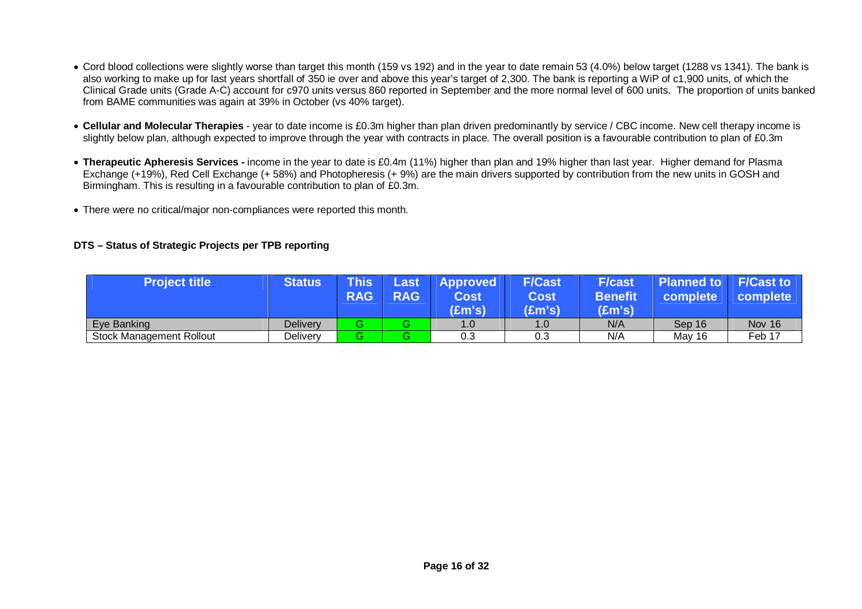- Cord blood collections were slightly worse than target this month (159 vs 192) and in the year to date remain 53 (4.0%) below target (1288 vs 1341). The bank is also working to make up for last years shortfall of 350 ie over and above this year's target of 2,300. The bank is reporting a WiP of c1,900 units, of which the Clinical Grade units (Grade A-C) account for c970 units versus 860 reported in September and the more normal level of 600 units. The proportion of units banked from BAME communities was again at 39% in October (vs 40% target).
- **Cellular and Molecular Therapies** year to date income is £0.3m higher than plan driven predominantly by service / CBC income. New cell therapy income is slightly below plan, although expected to improve through the year with contracts in place. The overall position is a favourable contribution to plan of £0.3m
- **Therapeutic Apheresis Services** income in the year to date is £0.4m (11%) higher than plan and 19% higher than last year. Higher demand for Plasma Exchange (+19%), Red Cell Exchange (+ 58%) and Photopheresis (+ 9%) are the main drivers supported by contribution from the new units in GOSH and Birmingham. This is resulting in a favourable contribution to plan of £0.3m.
- There were no critical/major non-compliances were reported this month.

#### **DTS – Status of Strategic Projects per TPB reporting**

| <b>Project title</b>            | <b>Status</b> | <b>This</b><br><b>RAG</b> | Last<br><b>RAG</b> | <b>Approved</b><br><b>Cost</b><br>(£m's) | <b>F/Cast</b><br><b>Cost</b><br>$(\text{Em's})$ | <b>F/cast</b><br><b>Benefit</b><br>E(m's) | Planned to<br>⊾complete⊺ | <b>F/Cast to</b><br>complete |
|---------------------------------|---------------|---------------------------|--------------------|------------------------------------------|-------------------------------------------------|-------------------------------------------|--------------------------|------------------------------|
| Eye Banking                     | Delivery      | σ.                        |                    | $\overline{0}$ . I                       | 1.0                                             | N/A                                       | Sep 16                   | Nov 16                       |
| <b>Stock Management Rollout</b> | Deliverv      | -                         |                    | 0.3                                      | 0.3                                             | N/A                                       | <b>May 16</b>            | Feb 17                       |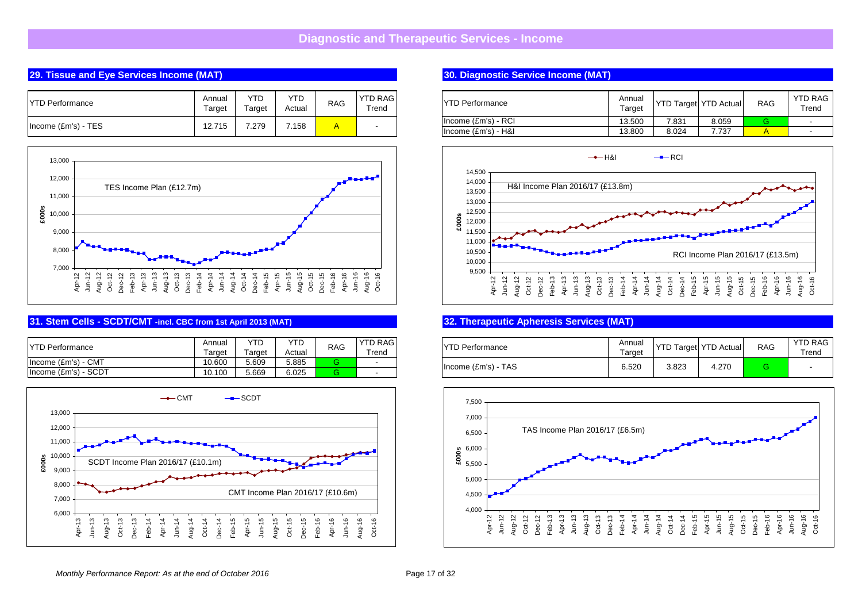#### **29. Tissue and Eye Services Income (MAT)**), which is a strong state of  $\mathbb{R}^n$  . The strong state  $\mathbb{R}^n$

| <b>IYTD Performance</b> | Annual<br>Target | YTD<br>Target | YTD<br>Actual | <b>RAG</b> | <b>YTD RAG</b><br>Trend | IYTD Performance                          |
|-------------------------|------------------|---------------|---------------|------------|-------------------------|-------------------------------------------|
| Income (£m's) - TES     | 12.715           | 7.279         | 7.158         |            |                         | Income (£m's) - RC<br>Income (£m's) - H&I |



#### **31. Stem Cells - SCDT/CMT -incl. CBC from 1st April 2013 (MAT)** $\mathbf{C}$  . The 1 scalar  $\mathbf{C}$  is the 1 scalar  $\mathbf{C}$

| <b>YTD Performance</b>  | Annual<br>Farget | <b>YTL</b><br>Гarɑet | <b>YTD</b><br>Actual | <b>RAG</b> | <b>YTD RAG</b><br>Trena | <b>TYTD Performance</b>  | Annual<br>Targe | <b>VTD</b><br>Target<br>. . | $\sqrt{2}$<br>.′TD Actual | <b>RAG</b> | <b>YTL</b><br>- |
|-------------------------|------------------|----------------------|----------------------|------------|-------------------------|--------------------------|-----------------|-----------------------------|---------------------------|------------|-----------------|
| - CMT<br>Income (Em's)  | 10.600           | 5.609                | 5.885                |            |                         | TAS<br>$Income (Em's) -$ | 6.520           | 3.823                       | 4.270                     |            |                 |
| - SCDT<br>Income (Em's) | 10.100           | 5.669                | 6.025                |            |                         |                          |                 |                             |                           |            |                 |



#### **30. Diagnostic Service Income (MAT)**

| <b>RAG</b><br>end | <b>IYTD Performance</b> | Annual<br>Target |       | <b>YTD Target</b> YTD Actual | <b>RAG</b> | <b>YTD RAG</b><br>Trend |
|-------------------|-------------------------|------------------|-------|------------------------------|------------|-------------------------|
|                   | Income (£m's) - RCI     | 13.500           | 7.831 | 8.059                        |            |                         |
|                   | Income (£m's) - H&I     | 13.800           | 8.024 | 7.737                        |            | -                       |



#### **32. Therapeutic Apheresis Services (MAT)**

| Annual<br>Target | <b>YTD</b><br>Tarɑet | YTD<br>Actual | <b>RAG</b> | <b>YTD RAG</b><br>Trend | <b>YTD Performance</b>          | Annual<br>Target | <b>VTD</b><br>◡ | Target YTD Actual | <b>RAG</b> | <b>YTD RAG</b><br>Trend |
|------------------|----------------------|---------------|------------|-------------------------|---------------------------------|------------------|-----------------|-------------------|------------|-------------------------|
| 10.600           | 5.609                | 5.885         |            |                         | $Income (Em's) -$<br><b>TAS</b> | 6.520            | 3.823           | 4.270             |            |                         |
| 10.100           | 5.669                | 6.025         |            |                         |                                 |                  |                 |                   |            |                         |

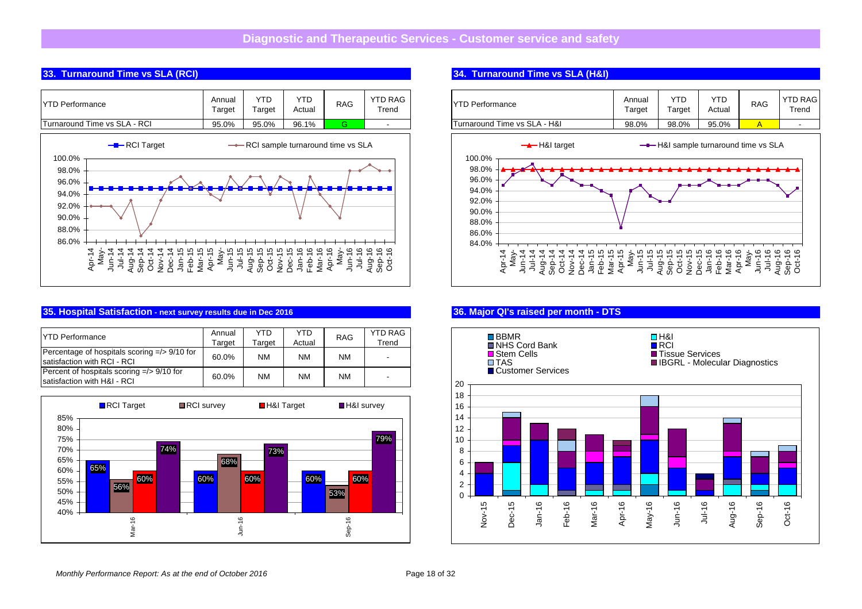| <b>YTD Performance</b>       | Annual<br>Target | YTD<br>Target | YTD<br>Actual | <b>RAG</b> | <b>YTD RAG</b><br>Trend |
|------------------------------|------------------|---------------|---------------|------------|-------------------------|
| Turnaround Time vs SLA - RCI | 95.0%            | 95.0%         | 96.1%         |            | -                       |
|                              |                  |               |               |            |                         |

RCI # 5



#### **35. Hospital Satisfaction - next survey results due in Dec 2016** $\mathbf 6$  , and  $\mathbf 3$  respectively. The  $\mathbf 3$

**33. Turnaround Time vs SLA (RCI)**

| <b>IYTD Performance</b>                                                        | Annual | YTD       | YTD       | <b>RAG</b> | <b>YTD RAG</b> |
|--------------------------------------------------------------------------------|--------|-----------|-----------|------------|----------------|
|                                                                                | Target | Target    | Actual    |            | Trend          |
| Percentage of hospitals scoring $=$ /> 9/10 for<br>satisfaction with RCI - RCI | 60.0%  | <b>NM</b> | <b>NM</b> | <b>NM</b>  |                |
| Percent of hospitals scoring $=$ /> 9/10 for<br>satisfaction with H&I - RCI    | 60.0%  | <b>NM</b> | <b>NM</b> | <b>NM</b>  |                |



#### **34. Turnaround Time vs SLA (H&I)**





#### **36. Major QI's raised per month - DTS**



#### Monthly Performance Report: As at the end of October 2016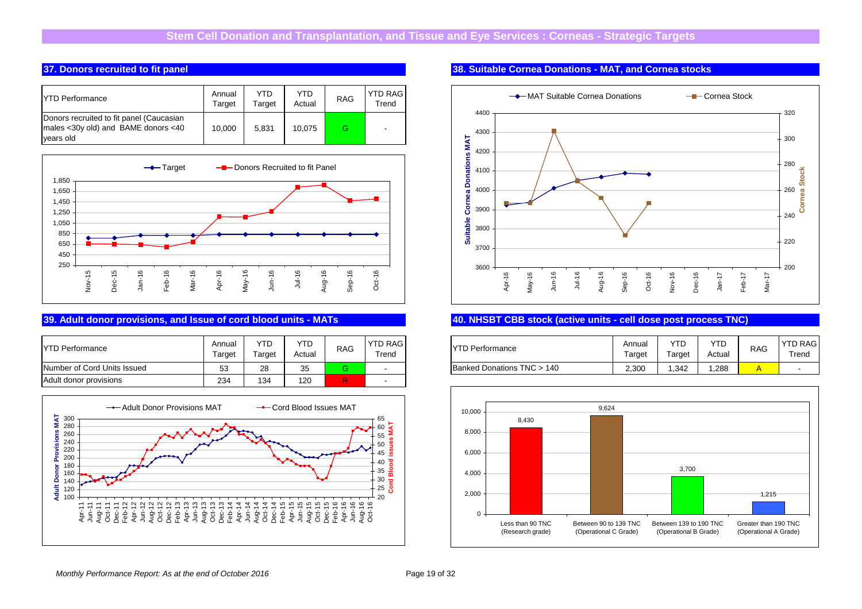#### **37. Donors recruited to fit panel** $\mathbf{S}_{\mathbf{S}}$  scale  $\mathbf{S}_{\mathbf{S}}$  scale  $\mathbf{S}_{\mathbf{S}}$  scale  $\mathbf{S}_{\mathbf{S}}$  scale  $\mathbf{S}_{\mathbf{S}}$

| IYTD Performance                                                                             | Annual<br>Tarɑet | YTD<br>Target | YTD<br>Actual | <b>RAG</b> | <b>YTD RAG</b><br>Trend |
|----------------------------------------------------------------------------------------------|------------------|---------------|---------------|------------|-------------------------|
| Donors recruited to fit panel (Caucasian<br>males <30y old) and BAME donors <40<br>vears old | 10.000           | 5.831         | 10.075        |            |                         |



#### **39. Adult donor provisions, and Issue of cord blood units - MATs**

| <b>IYTD Performance</b>     | Annual<br>Tarɑet | YTD<br>Target | YTD<br>Actual | <b>RAG</b> | <b>YTD RAG</b><br>Trend | <b>IYTD Performance</b> |
|-----------------------------|------------------|---------------|---------------|------------|-------------------------|-------------------------|
| Number of Cord Units Issued | 53               | 28            | 35            | Э          | -                       | <b>Banked Donations</b> |
| Adult donor provisions      | 234              | 134           | 120           | R          |                         |                         |



#### **38. Suitable Cornea Donations - MAT, and Cornea stocks**



#### **40. NHSBT CBB stock (active units - cell dose post process TNC)**

| <b>RAG</b><br>end | <b>YTD Performance</b>     | Annual<br>Target | YTD<br>Target | YTD<br>Actual | <b>RAG</b> | <b>YTD RAG</b><br>™rend |
|-------------------|----------------------------|------------------|---------------|---------------|------------|-------------------------|
|                   | Banked Donations TNC > 140 | 2,300            | 1.342         | .288          |            |                         |

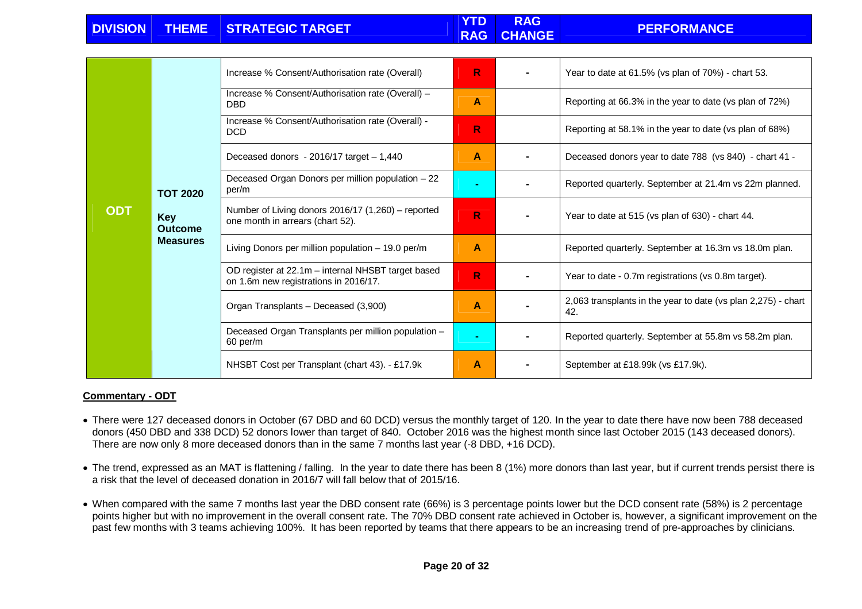|            |                              | Increase % Consent/Authorisation rate (Overall)                                             | R.             | Year to date at 61.5% (vs plan of 70%) - chart 53.                   |
|------------|------------------------------|---------------------------------------------------------------------------------------------|----------------|----------------------------------------------------------------------|
|            |                              | Increase % Consent/Authorisation rate (Overall) -<br><b>DBD</b>                             | A              | Reporting at 66.3% in the year to date (vs plan of 72%)              |
|            |                              | Increase % Consent/Authorisation rate (Overall) -<br><b>DCD</b>                             | R.             | Reporting at 58.1% in the year to date (vs plan of 68%)              |
|            |                              | Deceased donors - $2016/17$ target $-1,440$                                                 | A              | Deceased donors year to date 788 (vs 840) - chart 41 -               |
|            | <b>TOT 2020</b>              | Deceased Organ Donors per million population - 22<br>per/m                                  | $\blacksquare$ | Reported quarterly. September at 21.4m vs 22m planned.               |
| <b>ODT</b> | <b>Key</b><br><b>Outcome</b> | Number of Living donors 2016/17 (1,260) - reported<br>one month in arrears (chart 52).      | R.             | Year to date at 515 (vs plan of 630) - chart 44.                     |
|            | <b>Measures</b>              | Living Donors per million population - 19.0 per/m                                           | A              | Reported quarterly. September at 16.3m vs 18.0m plan.                |
|            |                              | OD register at 22.1m - internal NHSBT target based<br>on 1.6m new registrations in 2016/17. | R.             | Year to date - 0.7m registrations (vs 0.8m target).                  |
|            |                              | Organ Transplants - Deceased (3,900)                                                        | A              | 2,063 transplants in the year to date (vs plan 2,275) - chart<br>42. |
|            |                              | Deceased Organ Transplants per million population -<br>60 per/m                             | $\blacksquare$ | Reported quarterly. September at 55.8m vs 58.2m plan.                |
|            |                              | NHSBT Cost per Transplant (chart 43). - £17.9k                                              | A              | September at £18.99k (vs £17.9k).                                    |

#### **Commentary - ODT**

- There were 127 deceased donors in October (67 DBD and 60 DCD) versus the monthly target of 120. In the year to date there have now been 788 deceased donors (450 DBD and 338 DCD) 52 donors lower than target of 840. October 2016 was the highest month since last October 2015 (143 deceased donors). There are now only 8 more deceased donors than in the same 7 months last year (-8 DBD, +16 DCD).
- The trend, expressed as an MAT is flattening / falling. In the year to date there has been 8 (1%) more donors than last year, but if current trends persist there is a risk that the level of deceased donation in 2016/7 will fall below that of 2015/16.
- When compared with the same 7 months last year the DBD consent rate (66%) is 3 percentage points lower but the DCD consent rate (58%) is 2 percentage points higher but with no improvement in the overall consent rate. The 70% DBD consent rate achieved in October is, however, a significant improvement on the past few months with 3 teams achieving 100%. It has been reported by teams that there appears to be an increasing trend of pre-approaches by clinicians.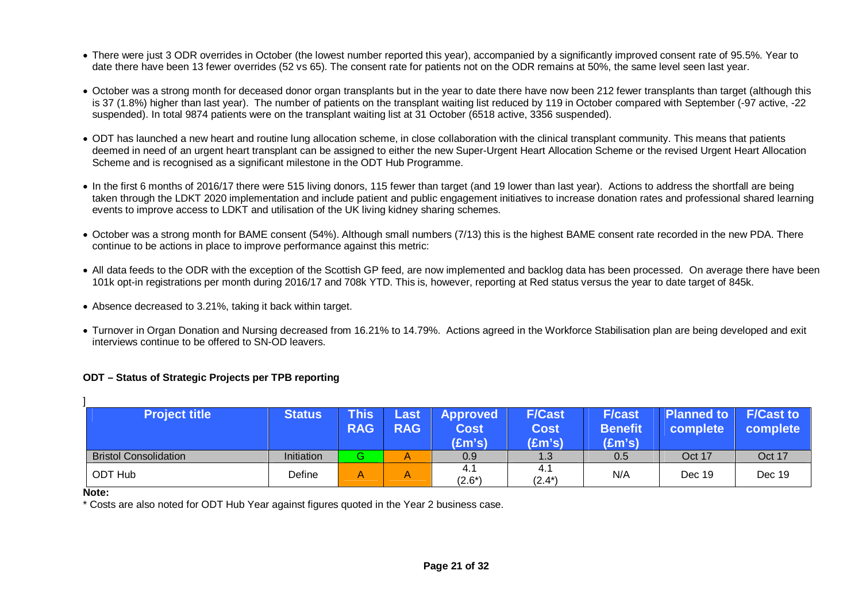- There were just 3 ODR overrides in October (the lowest number reported this year), accompanied by a significantly improved consent rate of 95.5%. Year to date there have been 13 fewer overrides (52 vs 65). The consent rate for patients not on the ODR remains at 50%, the same level seen last year.
- October was a strong month for deceased donor organ transplants but in the year to date there have now been 212 fewer transplants than target (although this is 37 (1.8%) higher than last year). The number of patients on the transplant waiting list reduced by 119 in October compared with September (-97 active, -22suspended). In total 9874 patients were on the transplant waiting list at 31 October (6518 active, 3356 suspended).
- ODT has launched a new heart and routine lung allocation scheme, in close collaboration with the clinical transplant community. This means that patients deemed in need of an urgent heart transplant can be assigned to either the new Super-Urgent Heart Allocation Scheme or the revised Urgent Heart Allocation Scheme and is recognised as a significant milestone in the ODT Hub Programme.
- In the first 6 months of 2016/17 there were 515 living donors, 115 fewer than target (and 19 lower than last year). Actions to address the shortfall are being taken through the LDKT 2020 implementation and include patient and public engagement initiatives to increase donation rates and professional shared learning events to improve access to LDKT and utilisation of the UK living kidney sharing schemes.
- October was a strong month for BAME consent (54%). Although small numbers (7/13) this is the highest BAME consent rate recorded in the new PDA. There continue to be actions in place to improve performance against this metric:
- All data feeds to the ODR with the exception of the Scottish GP feed, are now implemented and backlog data has been processed. On average there have been 101k opt-in registrations per month during 2016/17 and 708k YTD. This is, however, reporting at Red status versus the year to date target of 845k.
- Absence decreased to 3.21%, taking it back within target.
- Turnover in Organ Donation and Nursing decreased from 16.21% to 14.79%. Actions agreed in the Workforce Stabilisation plan are being developed and exit interviews continue to be offered to SN-OD leavers.

#### **ODT – Status of Strategic Projects per TPB reporting**

| <b>Project title</b>         | <b>Status</b> | <b>This</b><br><b>RAG</b> | Last<br><b>RAG</b> | <b>Approved</b><br><b>Cost</b><br>$(\text{Em's})$ | <b>F/Cast</b><br><b>Cost</b><br>$(\text{Em's})$ | <b>F/cast</b><br><b>Benefit</b><br>$(\text{Em's})$ | <b>Planned to</b><br>complete | <b>F/Cast to</b><br>complete |
|------------------------------|---------------|---------------------------|--------------------|---------------------------------------------------|-------------------------------------------------|----------------------------------------------------|-------------------------------|------------------------------|
| <b>Bristol Consolidation</b> | Initiation    |                           |                    | 0.9                                               | 1.3                                             | 0.5                                                | <b>Oct 17</b>                 | Oct 17                       |
| ODT Hub                      | Define        | Α                         | Α                  | 4.1<br>$(2.6^*)$                                  | 4.1<br>$(2.4^*)$                                | N/A                                                | Dec 19                        | Dec 19                       |

#### **Note:**

]

\* Costs are also noted for ODT Hub Year against figures quoted in the Year 2 business case.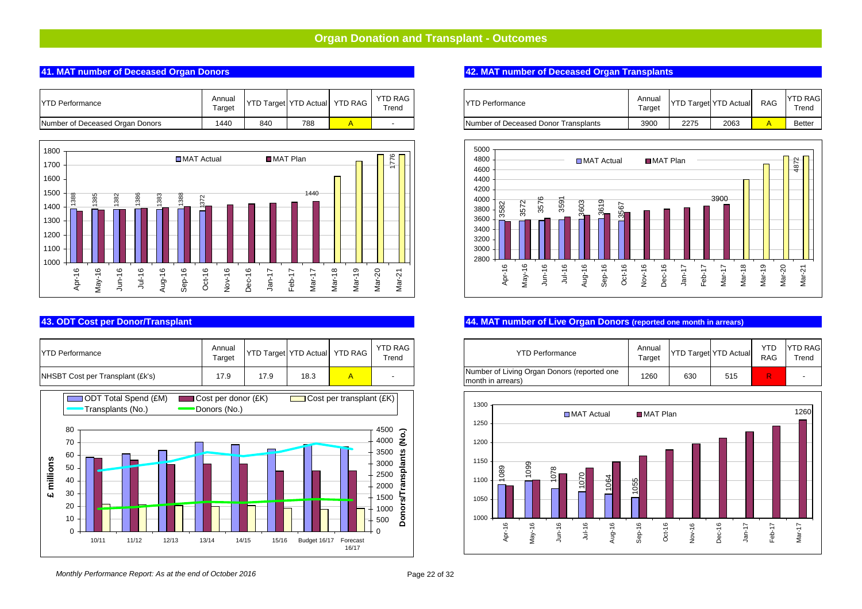## **Organ Donation and Transplant - Outcomes**

#### **41. MAT number of Deceased Organ Donors**

| <b>YTD Performance</b>          | Annua<br>Гarget | 'VTD. | Target YTD Actual | <b>YTD RAG</b> | <b>YTD RAG</b><br>Trend  | <b>IYTD Performance</b>              | Annua<br>Target | <b>YTD Target YTD Actual</b> |      | RAG | <b>YTD RA</b><br>Trend |
|---------------------------------|-----------------|-------|-------------------|----------------|--------------------------|--------------------------------------|-----------------|------------------------------|------|-----|------------------------|
| Number of Deceased Organ Donors | 440             | 840   | 788               |                | $\overline{\phantom{0}}$ | Number of Deceased Donor Transplants | 3900            | 2275                         | 2063 |     | <b>Better</b>          |



#### **43. ODT Cost per Donor/Transplant**



#### **42. MAT number of Deceased Organ Transplants**

| AG<br>d | <b>YTD Performance</b>               | Annual<br>Target |      | <b>YTD Target YTD Actual</b> | <b>RAG</b> | <b>YTD RAG</b><br>Trend |
|---------|--------------------------------------|------------------|------|------------------------------|------------|-------------------------|
|         | Number of Deceased Donor Transplants | 3900             | 2275 | 2063                         |            | <b>Better</b>           |



#### **44. MAT number of Live Organ Donors (reported one month in arrears)**

| <b>RAG</b><br>end | <b>YTD Performance</b>                                           | Annual<br>Target |     | <b>YTD Target YTD Actual</b> | YTD<br><b>RAG</b> | <b>YTD RAG</b><br>$T$ rend |
|-------------------|------------------------------------------------------------------|------------------|-----|------------------------------|-------------------|----------------------------|
|                   | Number of Living Organ Donors (reported one<br>month in arrears) | 1260             | 630 | 515                          |                   |                            |

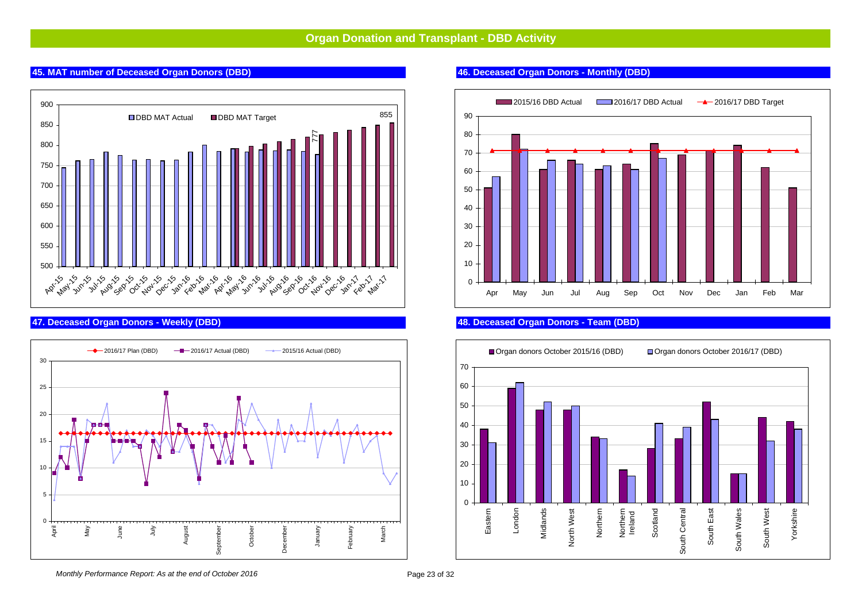## **Organ Donation and Transplant - DBD Activity**



#### **45. MAT number of Deceased Organ Donors (DBD)**

#### **47. Deceased Organ Donors - Weekly (DBD)**



#### **46. Deceased Organ Donors - Monthly (DBD)**



#### **48. Deceased Organ Donors - Team (DBD)**

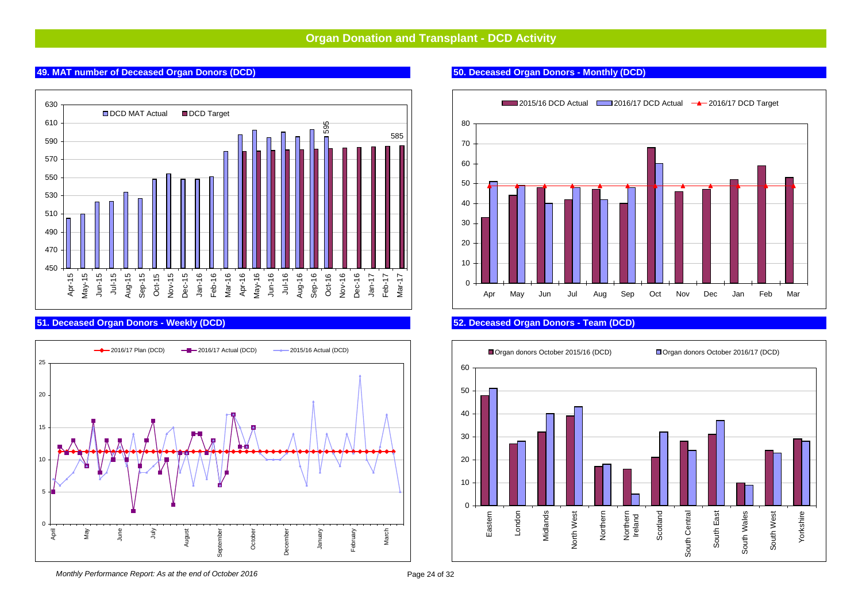## **Organ Donation and Transplant - DCD Activity**



#### **49. MAT number of Deceased Organ Donors (DCD)**

#### **51. Deceased Organ Donors - Weekly (DCD)**



#### **50. Deceased Organ Donors - Monthly (DCD)**



#### **52. Deceased Organ Donors - Team (DCD)**

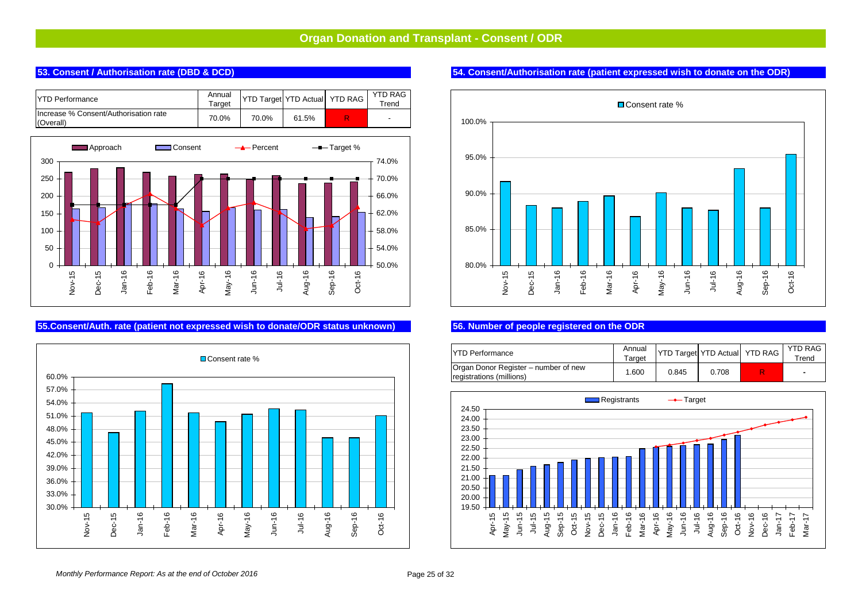#### **53. Consent / Authorisation rate (DBD & DCD)**ODT # 1999 AND # 1999 AND # 1999 AND # 1999 AND # 1999

| <b>TYTD Performance</b>                            | Annual<br>Target | <b>IYTD Target YTD Actual   YTD RAG</b> |       | <b>YTD RAG</b><br>$T$ rend |
|----------------------------------------------------|------------------|-----------------------------------------|-------|----------------------------|
| Increase % Consent/Authorisation rate<br>(Overall) | 70.0%            | 70.0%                                   | 61.5% | ۰                          |



#### **55.Consent/Auth. rate (patient not expressed wish to donate/ODR status unknown) 56. Number of people registered on the ODR**



#### **54. Consent/Authorisation rate (patient expressed wish to donate on the ODR)**



## $\mathbf R$  . The set of the set of the set of the set of the set of the set of the set of the set of the set of the set of the set of the set of the set of the set of the set of the set of the set of the set of the set of the

| IYTD Performance                                                 | Annual<br>Target | <b>YTD Target YTD Actual</b> YTD RAG |       | <b>YTD RAG</b><br>Trend |
|------------------------------------------------------------------|------------------|--------------------------------------|-------|-------------------------|
| Organ Donor Register – number of new<br>registrations (millions) | 1.600            | 0.845                                | 0.708 | $\blacksquare$          |

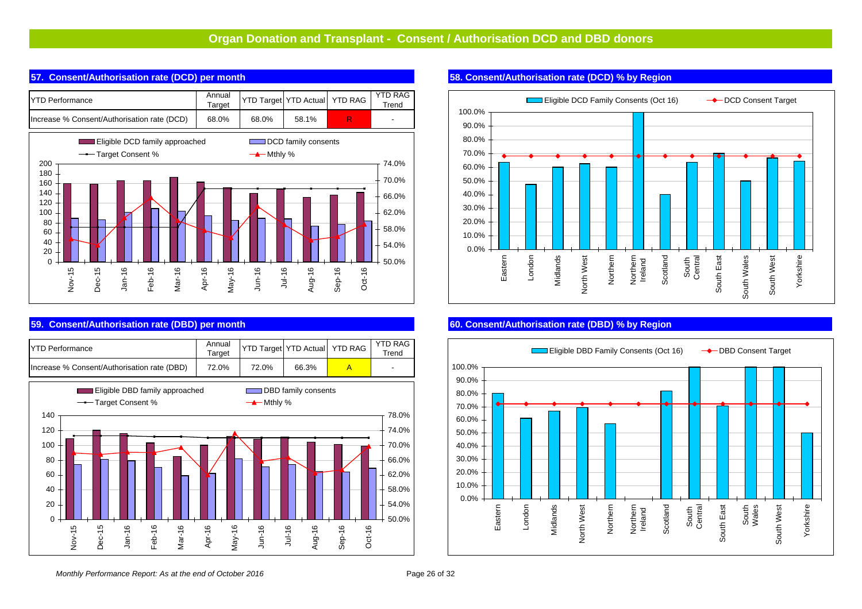

#### **57. Consent/Authorisation rate (DCD) per month**

#### **59. Consent/Authorisation rate (DBD) per month**



#### **58. Consent/Authorisation rate (DCD) % by Region**



#### **60. Consent/Authorisation rate (DBD) % by Region**

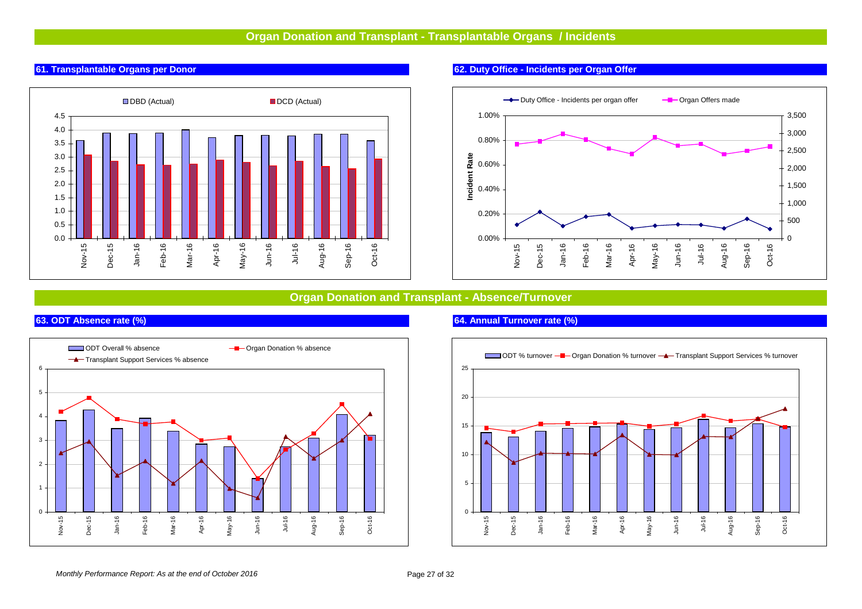#### **61. Transplantable Organs per Donor**



#### **62. Duty Office - Incidents per Organ Offer**

**64. Annual Turnover rate (%)**



#### **Organ Donation and Transplant - Absence/Turnover**

#### **63. ODT Absence rate (%)**



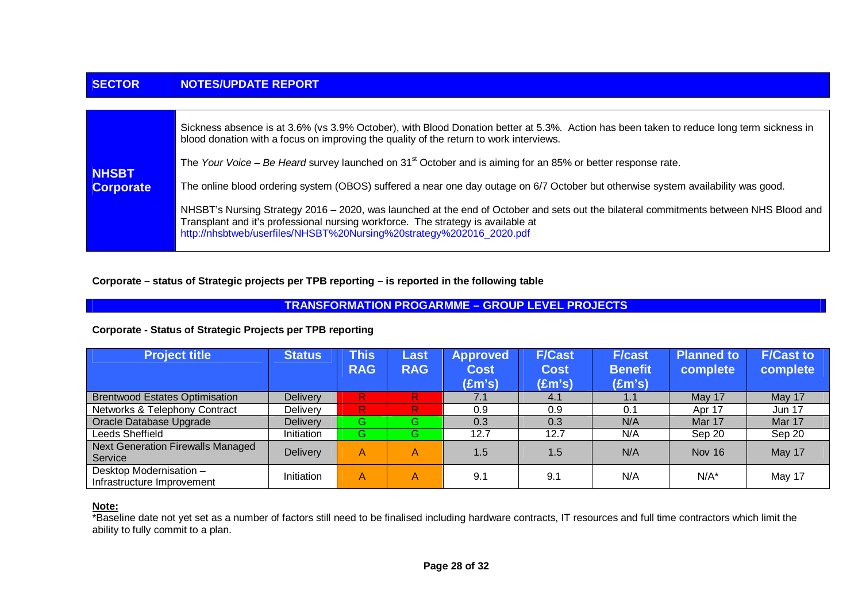| <b>SECTOR</b>                    | <b>NOTES/UPDATE REPORT</b>                                                                                                                                                                                                                                                                        |
|----------------------------------|---------------------------------------------------------------------------------------------------------------------------------------------------------------------------------------------------------------------------------------------------------------------------------------------------|
|                                  |                                                                                                                                                                                                                                                                                                   |
|                                  | Sickness absence is at 3.6% (vs 3.9% October), with Blood Donation better at 5.3%. Action has been taken to reduce long term sickness in<br>blood donation with a focus on improving the quality of the return to work interviews.                                                                |
|                                  | The Your Voice – Be Heard survey launched on $31st$ October and is aiming for an 85% or better response rate.                                                                                                                                                                                     |
| <b>NHSBT</b><br><b>Corporate</b> | The online blood ordering system (OBOS) suffered a near one day outage on 6/7 October but otherwise system availability was good.                                                                                                                                                                 |
|                                  | NHSBT's Nursing Strategy 2016 - 2020, was launched at the end of October and sets out the bilateral commitments between NHS Blood and<br>Transplant and it's professional nursing workforce. The strategy is available at<br>http://nhsbtweb/userfiles/NHSBT%20Nursing%20strategy%202016_2020.pdf |

### **Corporate – status of Strategic projects per TPB reporting – is reported in the following table**

### **TRANSFORMATION PROGARMME – GROUP LEVEL PROJECTS**

#### **Corporate - Status of Strategic Projects per TPB reporting**

| <b>Project title</b>                                  | <b>Status</b>   | <b>This</b><br><b>RAG</b> | Last<br><b>RAG</b> | <b>Approved</b><br><b>Cost</b><br>(£m's) | <b>F/Cast</b><br><b>Cost</b><br>(£m's) | <b>F/cast</b><br><b>Benefit</b><br>$(\text{Em's})$ | Planned to<br>complete | <b>F/Cast to</b><br>complete |
|-------------------------------------------------------|-----------------|---------------------------|--------------------|------------------------------------------|----------------------------------------|----------------------------------------------------|------------------------|------------------------------|
| <b>Brentwood Estates Optimisation</b>                 | <b>Delivery</b> | R.                        | R.                 | 7.1                                      | 4.1                                    | 1.1                                                | May 17                 | May 17                       |
| Networks & Telephony Contract                         | <b>Delivery</b> | $\mathsf{R}$              | R.                 | 0.9                                      | 0.9                                    | 0.1                                                | Apr 17                 | <b>Jun 17</b>                |
| Oracle Database Upgrade                               | <b>Delivery</b> | G                         | G.                 | 0.3                                      | 0.3                                    | N/A                                                | Mar 17                 | Mar 17                       |
| Leeds Sheffield                                       | Initiation      | G                         | G.                 | 12.7                                     | 12.7                                   | N/A                                                | Sep 20                 | Sep 20                       |
| <b>Next Generation Firewalls Managed</b><br>Service   | <b>Delivery</b> | A                         | A                  | 1.5                                      | 1.5                                    | N/A                                                | <b>Nov 16</b>          | May 17                       |
| Desktop Modernisation -<br>Infrastructure Improvement | Initiation      | A                         | Α                  | 9.1                                      | 9.1                                    | N/A                                                | $N/A^*$                | May 17                       |

## **Note:**

\*Baseline date not yet set as a number of factors still need to be finalised including hardware contracts, IT resources and full time contractors which limit the ability to fully commit to a plan.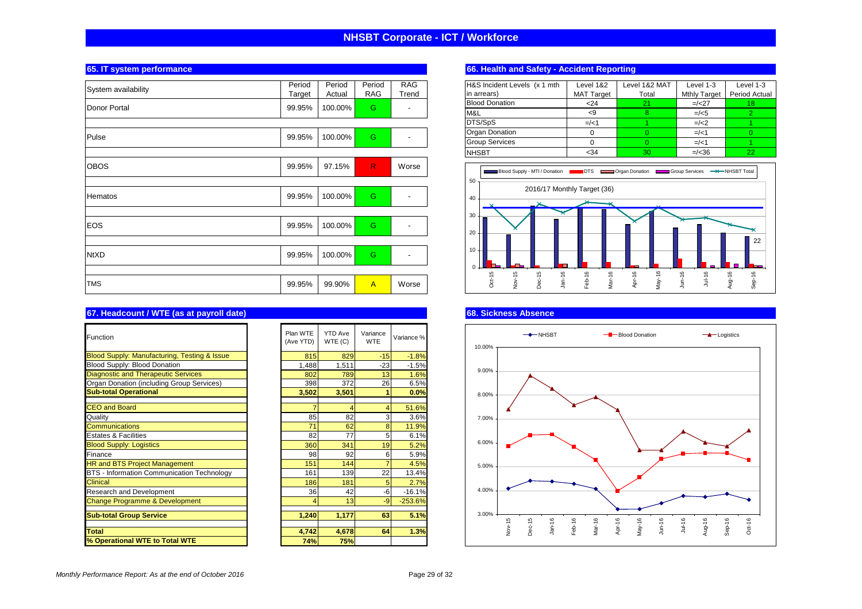### **NHSBT Corporate - ICT / Workforce**

| 65. IT system performance                    |                |                |                |                          | 66. Health a                          |
|----------------------------------------------|----------------|----------------|----------------|--------------------------|---------------------------------------|
| System availability                          | Period         | Period         | Period         | <b>RAG</b>               | H&S Incident Le                       |
|                                              | Target         | Actual         | <b>RAG</b>     | Trend                    | in arrears)                           |
| Donor Portal                                 | 99.95%         | 100.00%        | G              |                          | <b>Blood Donation</b>                 |
|                                              |                |                |                |                          | M&L                                   |
|                                              |                |                |                |                          | DTS/SpS                               |
| Pulse                                        | 99.95%         | 100.00%        | G              |                          | <b>Organ Donatior</b>                 |
|                                              |                |                |                |                          | <b>Group Services</b><br><b>NHSBT</b> |
|                                              |                |                |                |                          |                                       |
| OBOS                                         | 99.95%         | 97.15%         | R.             | Worse                    | <b>Blood S</b>                        |
|                                              |                |                |                |                          | 50                                    |
|                                              | 99.95%         | 100.00%        | G              |                          |                                       |
| Hematos                                      |                |                |                |                          | 40                                    |
|                                              |                |                |                |                          | 30                                    |
| <b>EOS</b>                                   | 99.95%         | 100.00%        | G              |                          |                                       |
|                                              |                |                |                |                          | 20                                    |
|                                              |                |                |                |                          | 10                                    |
| <b>NtXD</b>                                  | 99.95%         | 100.00%        | G              | $\overline{\phantom{a}}$ |                                       |
|                                              |                |                |                |                          | $\mathbf 0$                           |
|                                              | 99.95%         | 99.90%         | $\overline{A}$ | Worse                    | $Oct-15$                              |
| TMS                                          |                |                |                |                          |                                       |
|                                              |                |                |                |                          |                                       |
| 67. Headcount / WTE (as at payroll date)     |                |                |                |                          | <b>68. Sickness</b>                   |
|                                              | Plan WTE       | <b>YTD Ave</b> | Variance       |                          |                                       |
| Function                                     | (Ave YTD)      | WTE(C)         | <b>WTE</b>     | Variance %               | 10.00%                                |
| Blood Supply: Manufacturing, Testing & Issue | 815            | 829            | $-15$          | $-1.8%$                  |                                       |
| Blood Supply: Blood Donation                 | 1,488          | 1,511          | $-23$          | $-1.5%$                  |                                       |
| <b>Diagnostic and Therapeutic Services</b>   | 802            | 789            | 13             | 1.6%                     | 9.00%                                 |
| Organ Donation (including Group Services)    | 398            | 372            | 26             | 6.5%                     |                                       |
| <b>Sub-total Operational</b>                 | 3,502          | 3,501          | 1              | 0.0%                     | 8.00%                                 |
| <b>CEO</b> and Board                         | $\overline{7}$ | $\overline{4}$ | 4              | 51.6%                    |                                       |
| Quality                                      | 85             | 82             | 3              | 3.6%                     | 7.00%                                 |
| Communications                               | 71             | 62             | 8              | 11.9%                    |                                       |
| <b>Estates &amp; Facilities</b>              | 82             | 77             | 5              | 6.1%                     |                                       |
| <b>Blood Supply: Logistics</b>               | 360            | 341            | 19             | 5.2%                     | 6.00%                                 |
| Finance                                      | 98             | 92             | 6              | 5.9%                     |                                       |
| <b>HR and BTS Project Management</b>         | 151            | 144            | $\overline{7}$ | 4.5%                     | 5.00%                                 |
| BTS - Information Communication Technology   | 161            | 139            | 22             | 13.4%                    |                                       |

| 67. Headcount / WTE (as at payroll date)          |                       |                           |                        |            |
|---------------------------------------------------|-----------------------|---------------------------|------------------------|------------|
| Function                                          | Plan WTE<br>(Ave YTD) | <b>YTD Ave</b><br>WTE (C) | Variance<br><b>WTE</b> | Variance % |
| Blood Supply: Manufacturing, Testing & Issue      | 815                   | 829                       | $-15$                  | $-1.8%$    |
| Blood Supply: Blood Donation                      | 1,488                 | 1,511                     | $-23$                  | $-1.5%$    |
| <b>Diagnostic and Therapeutic Services</b>        | 802                   | 789                       | 13                     | 1.6%       |
| Organ Donation (including Group Services)         | 398                   | 372                       | 26                     | 6.5%       |
| <b>Sub-total Operational</b>                      | 3,502                 | 3,501                     |                        | 0.0%       |
|                                                   |                       |                           |                        |            |
| <b>CEO and Board</b>                              | 7                     | 4                         | 4                      | 51.6%      |
| Quality                                           | 85                    | 82                        | 3                      | 3.6%       |
| <b>Communications</b>                             | 71                    | 62                        | 8                      | 11.9%      |
| <b>Estates &amp; Facilities</b>                   | 82                    | 77                        | 5                      | 6.1%       |
| <b>Blood Supply: Logistics</b>                    | 360                   | 341                       | 19                     | 5.2%       |
| Finance                                           | 98                    | 92                        | 6                      | 5.9%       |
| <b>HR and BTS Project Management</b>              | 151                   | 144                       |                        | 4.5%       |
| <b>BTS - Information Communication Technology</b> | 161                   | 139                       | 22                     | 13.4%      |
| <b>Clinical</b>                                   | 186                   | 181                       | 5                      | 2.7%       |
| Research and Development                          | 36                    | 42                        | -6                     | $-16.1%$   |
| <b>Change Programme &amp; Development</b>         | 4                     | 13                        | -9                     | $-253.6%$  |
| <b>Sub-total Group Service</b>                    | 1,240                 | 1,177                     | 63                     | 5.1%       |
|                                                   |                       |                           |                        |            |
| <b>Total</b>                                      | 4,742                 | 4.678                     | 64                     | 1.3%       |
| % Operational WTE to Total WTE                    | 74%                   | 75%                       |                        |            |

#### **66. Health and Safety - Accident Reporting**

| H&S Incident Levels (x 1 mth | Level 1&2         | Level 1&2 MAT | Level 1-3           | Level 1-3     |
|------------------------------|-------------------|---------------|---------------------|---------------|
| in arrears)                  | <b>MAT Target</b> | Total         | <b>Mthly Target</b> | Period Actual |
| <b>Blood Donation</b>        | < 24              | 21            | $=$ /<27            | 18            |
| M&L                          | -9                |               | $=$ /<5             |               |
| DTS/SpS                      | $=$ /<1           |               | $=$ /<2             |               |
| Organ Donation               |                   |               | $=$ /<1             |               |
| <b>Group Services</b>        |                   |               | $=$ /<1             |               |
| <b>NHSBT</b>                 | < 34              | 30            | $=$ /<36            | 22            |



#### **68. Sickness Absence**

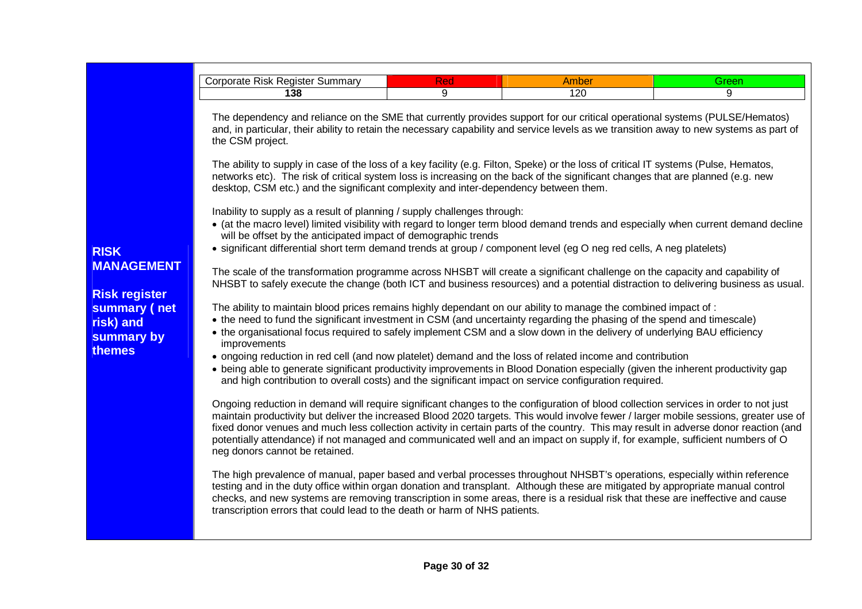|                                                                                                                      | <b>Corporate Risk Register Summary</b>                                                                                                                                                                                                                                                                                                                                                                                                                                                                                                                                                                                                                                                                                                                                                                                                                                                                                                                                                                                                                                                                                                                                             | Red | <b>Amber</b> | <b>Green</b> |  |  |  |
|----------------------------------------------------------------------------------------------------------------------|------------------------------------------------------------------------------------------------------------------------------------------------------------------------------------------------------------------------------------------------------------------------------------------------------------------------------------------------------------------------------------------------------------------------------------------------------------------------------------------------------------------------------------------------------------------------------------------------------------------------------------------------------------------------------------------------------------------------------------------------------------------------------------------------------------------------------------------------------------------------------------------------------------------------------------------------------------------------------------------------------------------------------------------------------------------------------------------------------------------------------------------------------------------------------------|-----|--------------|--------------|--|--|--|
|                                                                                                                      | 138                                                                                                                                                                                                                                                                                                                                                                                                                                                                                                                                                                                                                                                                                                                                                                                                                                                                                                                                                                                                                                                                                                                                                                                | 9   | 120          | 9            |  |  |  |
|                                                                                                                      | The dependency and reliance on the SME that currently provides support for our critical operational systems (PULSE/Hematos)<br>and, in particular, their ability to retain the necessary capability and service levels as we transition away to new systems as part of<br>the CSM project.<br>The ability to supply in case of the loss of a key facility (e.g. Filton, Speke) or the loss of critical IT systems (Pulse, Hematos,<br>networks etc). The risk of critical system loss is increasing on the back of the significant changes that are planned (e.g. new<br>desktop, CSM etc.) and the significant complexity and inter-dependency between them.<br>Inability to supply as a result of planning / supply challenges through:<br>• (at the macro level) limited visibility with regard to longer term blood demand trends and especially when current demand decline<br>will be offset by the anticipated impact of demographic trends                                                                                                                                                                                                                                 |     |              |              |  |  |  |
| <b>RISK</b><br><b>MANAGEMENT</b><br><b>Risk register</b><br>summary (net<br>risk) and<br>summary by<br><b>themes</b> | • significant differential short term demand trends at group / component level (eg O neg red cells, A neg platelets)<br>The scale of the transformation programme across NHSBT will create a significant challenge on the capacity and capability of<br>NHSBT to safely execute the change (both ICT and business resources) and a potential distraction to delivering business as usual.<br>The ability to maintain blood prices remains highly dependant on our ability to manage the combined impact of :<br>• the need to fund the significant investment in CSM (and uncertainty regarding the phasing of the spend and timescale)<br>• the organisational focus required to safely implement CSM and a slow down in the delivery of underlying BAU efficiency<br>improvements<br>• ongoing reduction in red cell (and now platelet) demand and the loss of related income and contribution<br>• being able to generate significant productivity improvements in Blood Donation especially (given the inherent productivity gap                                                                                                                                               |     |              |              |  |  |  |
|                                                                                                                      | and high contribution to overall costs) and the significant impact on service configuration required.<br>Ongoing reduction in demand will require significant changes to the configuration of blood collection services in order to not just<br>maintain productivity but deliver the increased Blood 2020 targets. This would involve fewer / larger mobile sessions, greater use of<br>fixed donor venues and much less collection activity in certain parts of the country. This may result in adverse donor reaction (and<br>potentially attendance) if not managed and communicated well and an impact on supply if, for example, sufficient numbers of O<br>neg donors cannot be retained.<br>The high prevalence of manual, paper based and verbal processes throughout NHSBT's operations, especially within reference<br>testing and in the duty office within organ donation and transplant. Although these are mitigated by appropriate manual control<br>checks, and new systems are removing transcription in some areas, there is a residual risk that these are ineffective and cause<br>transcription errors that could lead to the death or harm of NHS patients. |     |              |              |  |  |  |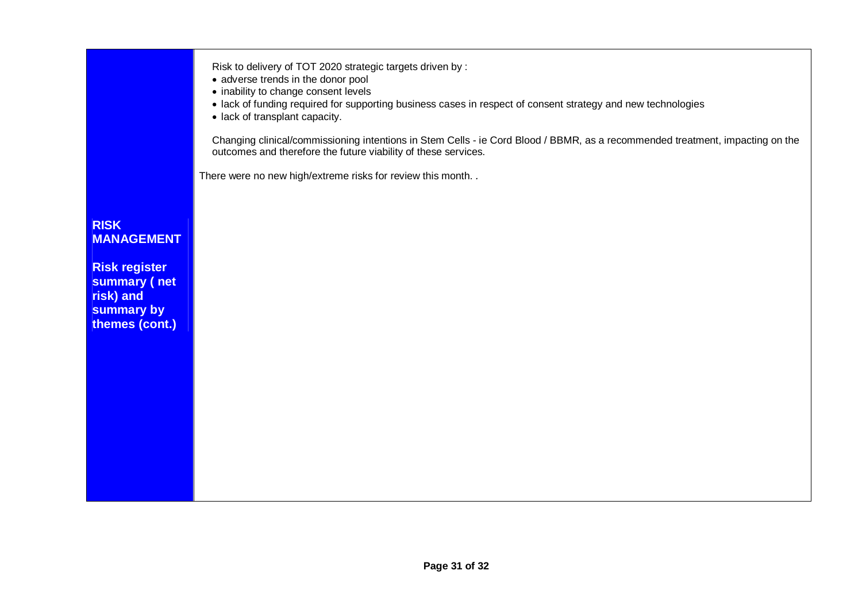Risk to delivery of TOT 2020 strategic targets driven by :

- adverse trends in the donor pool
- inability to change consent levels
- lack of funding required for supporting business cases in respect of consent strategy and new technologies
- lack of transplant capacity.

Changing clinical/commissioning intentions in Stem Cells - ie Cord Blood / BBMR, as a recommended treatment, impacting on the outcomes and therefore the future viability of these services.

There were no new high/extreme risks for review this month. .

# **RISK MANAGEMENT**

**Risk register summary ( net risk) and summary by themes (cont.)**